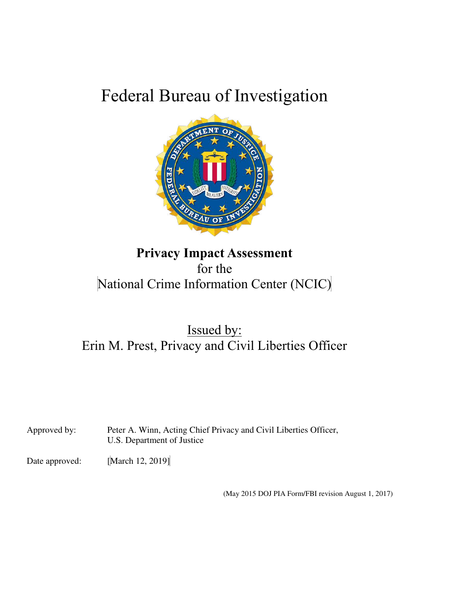# Federal Bureau of Investigation



# **Privacy Impact Assessment** for the National Crime Information Center (NCIC)

Issued by: Erin M. Prest, Privacy and Civil Liberties Officer

Approved by: Peter A. Winn, Acting Chief Privacy and Civil Liberties Officer, U.S. Department of Justice

Date approved: [March 12, 2019]

(May 2015 DOJ PIA Form/FBI revision August 1, 2017)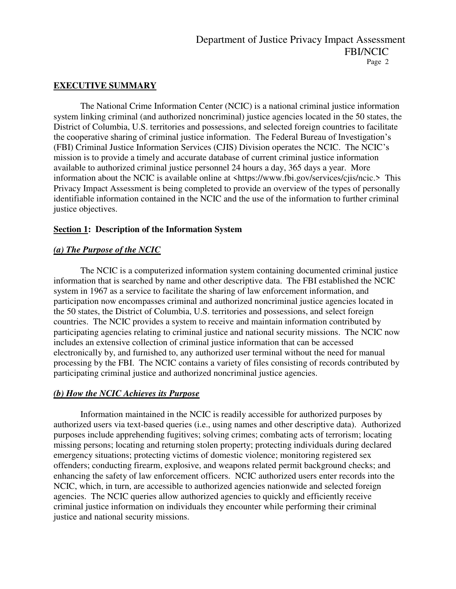### **EXECUTIVE SUMMARY**

 The National Crime Information Center (NCIC) is a national criminal justice information system linking criminal (and authorized noncriminal) justice agencies located in the 50 states, the District of Columbia, U.S. territories and possessions, and selected foreign countries to facilitate the cooperative sharing of criminal justice information. The Federal Bureau of Investigation's (FBI) Criminal Justice Information Services (CJIS) Division operates the NCIC. The NCIC's mission is to provide a timely and accurate database of current criminal justice information available to authorized criminal justice personnel 24 hours a day, 365 days a year. More information about the NCIC is available online at [<https://www.fbi.gov/services/cjis/ncic.](https://www.fbi.gov/services/cjis/ncic)> This Privacy Impact Assessment is being completed to provide an overview of the types of personally identifiable information contained in the NCIC and the use of the information to further criminal justice objectives.

### **Section 1: Description of the Information System**

### *(a) The Purpose of the NCIC*

The NCIC is a computerized information system containing documented criminal justice information that is searched by name and other descriptive data. The FBI established the NCIC system in 1967 as a service to facilitate the sharing of law enforcement information, and participation now encompasses criminal and authorized noncriminal justice agencies located in the 50 states, the District of Columbia, U.S. territories and possessions, and select foreign countries. The NCIC provides a system to receive and maintain information contributed by participating agencies relating to criminal justice and national security missions. The NCIC now includes an extensive collection of criminal justice information that can be accessed electronically by, and furnished to, any authorized user terminal without the need for manual processing by the FBI. The NCIC contains a variety of files consisting of records contributed by participating criminal justice and authorized noncriminal justice agencies.

### *(b) How the NCIC Achieves its Purpose*

Information maintained in the NCIC is readily accessible for authorized purposes by authorized users via text-based queries (i.e., using names and other descriptive data). Authorized purposes include apprehending fugitives; solving crimes; combating acts of terrorism; locating missing persons; locating and returning stolen property; protecting individuals during declared emergency situations; protecting victims of domestic violence; monitoring registered sex offenders; conducting firearm, explosive, and weapons related permit background checks; and enhancing the safety of law enforcement officers. NCIC authorized users enter records into the NCIC, which, in turn, are accessible to authorized agencies nationwide and selected foreign agencies. The NCIC queries allow authorized agencies to quickly and efficiently receive criminal justice information on individuals they encounter while performing their criminal justice and national security missions.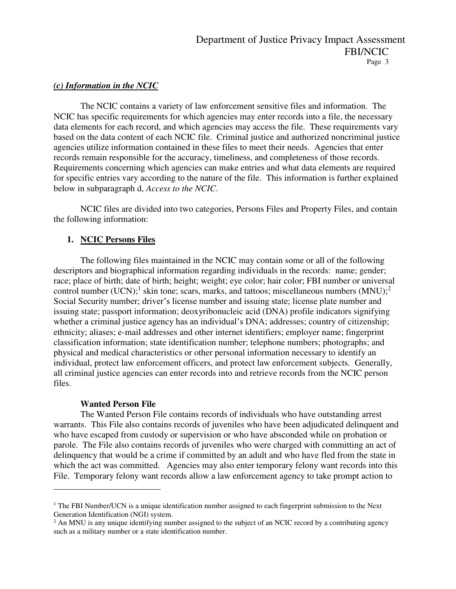### *(c) Information in the NCIC*

The NCIC contains a variety of law enforcement sensitive files and information. The NCIC has specific requirements for which agencies may enter records into a file, the necessary data elements for each record, and which agencies may access the file. These requirements vary based on the data content of each NCIC file. Criminal justice and authorized noncriminal justice agencies utilize information contained in these files to meet their needs. Agencies that enter records remain responsible for the accuracy, timeliness, and completeness of those records. Requirements concerning which agencies can make entries and what data elements are required for specific entries vary according to the nature of the file. This information is further explained below in subparagraph d, *Access to the NCIC*.

NCIC files are divided into two categories, Persons Files and Property Files, and contain the following information:

### **1. NCIC Persons Files**

The following files maintained in the NCIC may contain some or all of the following descriptors and biographical information regarding individuals in the records: name; gender; race; place of birth; date of birth; height; weight; eye color; hair color; FBI number or universal control number (UCN);<sup>1</sup> skin tone; scars, marks, and tattoos; miscellaneous numbers  $(MNU)$ ;<sup>2</sup> Social Security number; driver's license number and issuing state; license plate number and issuing state; passport information; deoxyribonucleic acid (DNA) profile indicators signifying whether a criminal justice agency has an individual's DNA; addresses; country of citizenship; ethnicity; aliases; e-mail addresses and other internet identifiers; employer name; fingerprint classification information; state identification number; telephone numbers; photographs; and physical and medical characteristics or other personal information necessary to identify an individual, protect law enforcement officers, and protect law enforcement subjects. Generally, all criminal justice agencies can enter records into and retrieve records from the NCIC person files.

### **Wanted Person File**

 $\overline{a}$ 

The Wanted Person File contains records of individuals who have outstanding arrest warrants. This File also contains records of juveniles who have been adjudicated delinquent and who have escaped from custody or supervision or who have absconded while on probation or parole. The File also contains records of juveniles who were charged with committing an act of delinquency that would be a crime if committed by an adult and who have fled from the state in which the act was committed. Agencies may also enter temporary felony want records into this File. Temporary felony want records allow a law enforcement agency to take prompt action to

<sup>&</sup>lt;sup>1</sup> The FBI Number/UCN is a unique identification number assigned to each fingerprint submission to the Next Generation Identification (NGI) system.

<sup>&</sup>lt;sup>2</sup> An MNU is any unique identifying number assigned to the subject of an NCIC record by a contributing agency such as a military number or a state identification number.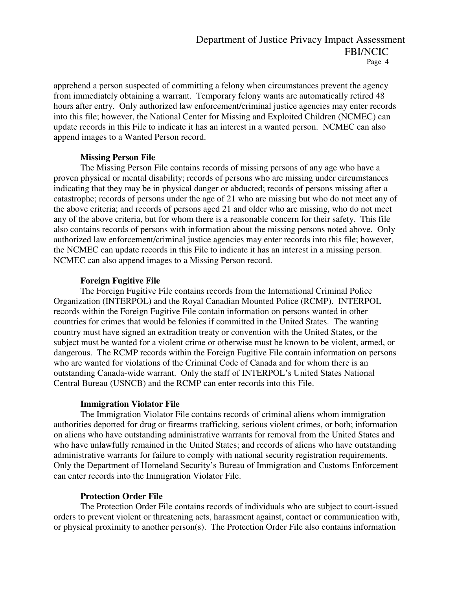apprehend a person suspected of committing a felony when circumstances prevent the agency from immediately obtaining a warrant. Temporary felony wants are automatically retired 48 hours after entry. Only authorized law enforcement/criminal justice agencies may enter records into this file; however, the National Center for Missing and Exploited Children (NCMEC) can update records in this File to indicate it has an interest in a wanted person. NCMEC can also append images to a Wanted Person record.

### **Missing Person File**

The Missing Person File contains records of missing persons of any age who have a proven physical or mental disability; records of persons who are missing under circumstances indicating that they may be in physical danger or abducted; records of persons missing after a catastrophe; records of persons under the age of 21 who are missing but who do not meet any of the above criteria; and records of persons aged 21 and older who are missing, who do not meet any of the above criteria, but for whom there is a reasonable concern for their safety. This file also contains records of persons with information about the missing persons noted above. Only authorized law enforcement/criminal justice agencies may enter records into this file; however, the NCMEC can update records in this File to indicate it has an interest in a missing person. NCMEC can also append images to a Missing Person record.

### **Foreign Fugitive File**

The Foreign Fugitive File contains records from the International Criminal Police Organization (INTERPOL) and the Royal Canadian Mounted Police (RCMP). INTERPOL records within the Foreign Fugitive File contain information on persons wanted in other countries for crimes that would be felonies if committed in the United States. The wanting country must have signed an extradition treaty or convention with the United States, or the subject must be wanted for a violent crime or otherwise must be known to be violent, armed, or dangerous. The RCMP records within the Foreign Fugitive File contain information on persons who are wanted for violations of the Criminal Code of Canada and for whom there is an outstanding Canada-wide warrant. Only the staff of INTERPOL's United States National Central Bureau (USNCB) and the RCMP can enter records into this File.

### **Immigration Violator File**

The Immigration Violator File contains records of criminal aliens whom immigration authorities deported for drug or firearms trafficking, serious violent crimes, or both; information on aliens who have outstanding administrative warrants for removal from the United States and who have unlawfully remained in the United States; and records of aliens who have outstanding administrative warrants for failure to comply with national security registration requirements. Only the Department of Homeland Security's Bureau of Immigration and Customs Enforcement can enter records into the Immigration Violator File.

### **Protection Order File**

The Protection Order File contains records of individuals who are subject to court-issued orders to prevent violent or threatening acts, harassment against, contact or communication with, or physical proximity to another person(s). The Protection Order File also contains information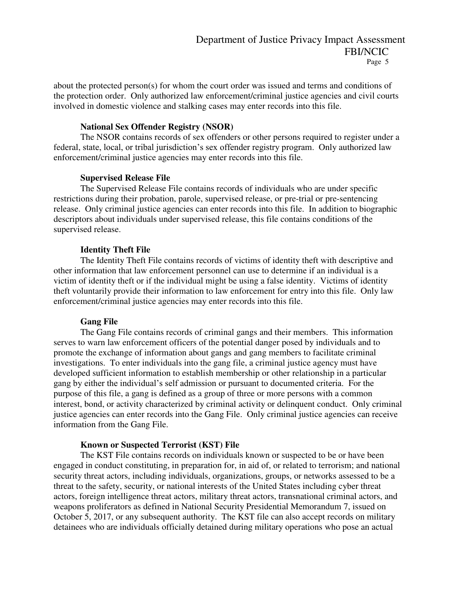about the protected person(s) for whom the court order was issued and terms and conditions of the protection order. Only authorized law enforcement/criminal justice agencies and civil courts involved in domestic violence and stalking cases may enter records into this file.

#### **National Sex Offender Registry (NSOR)**

The NSOR contains records of sex offenders or other persons required to register under a federal, state, local, or tribal jurisdiction's sex offender registry program. Only authorized law enforcement/criminal justice agencies may enter records into this file.

#### **Supervised Release File**

The Supervised Release File contains records of individuals who are under specific restrictions during their probation, parole, supervised release, or pre-trial or pre-sentencing release. Only criminal justice agencies can enter records into this file. In addition to biographic descriptors about individuals under supervised release, this file contains conditions of the supervised release.

### **Identity Theft File**

The Identity Theft File contains records of victims of identity theft with descriptive and other information that law enforcement personnel can use to determine if an individual is a victim of identity theft or if the individual might be using a false identity. Victims of identity theft voluntarily provide their information to law enforcement for entry into this file. Only law enforcement/criminal justice agencies may enter records into this file.

#### **Gang File**

The Gang File contains records of criminal gangs and their members. This information serves to warn law enforcement officers of the potential danger posed by individuals and to promote the exchange of information about gangs and gang members to facilitate criminal investigations. To enter individuals into the gang file, a criminal justice agency must have developed sufficient information to establish membership or other relationship in a particular gang by either the individual's self admission or pursuant to documented criteria. For the purpose of this file, a gang is defined as a group of three or more persons with a common interest, bond, or activity characterized by criminal activity or delinquent conduct. Only criminal justice agencies can enter records into the Gang File. Only criminal justice agencies can receive information from the Gang File.

#### **Known or Suspected Terrorist (KST) File**

The KST File contains records on individuals known or suspected to be or have been engaged in conduct constituting, in preparation for, in aid of, or related to terrorism; and national security threat actors, including individuals, organizations, groups, or networks assessed to be a threat to the safety, security, or national interests of the United States including cyber threat actors, foreign intelligence threat actors, military threat actors, transnational criminal actors, and weapons proliferators as defined in National Security Presidential Memorandum 7, issued on October 5, 2017, or any subsequent authority. The KST file can also accept records on military detainees who are individuals officially detained during military operations who pose an actual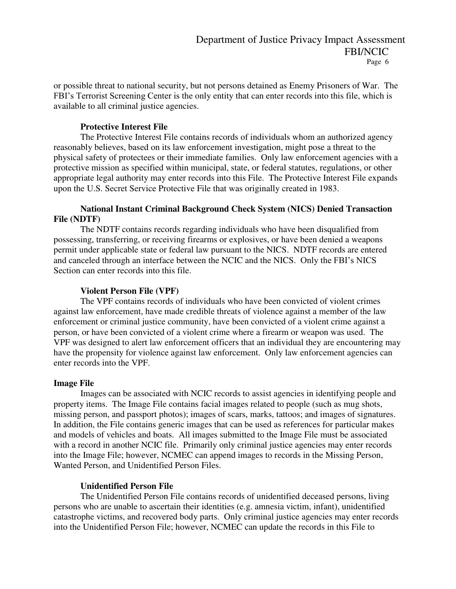or possible threat to national security, but not persons detained as Enemy Prisoners of War. The FBI's Terrorist Screening Center is the only entity that can enter records into this file, which is available to all criminal justice agencies.

### **Protective Interest File**

The Protective Interest File contains records of individuals whom an authorized agency reasonably believes, based on its law enforcement investigation, might pose a threat to the physical safety of protectees or their immediate families. Only law enforcement agencies with a protective mission as specified within municipal, state, or federal statutes, regulations, or other appropriate legal authority may enter records into this File. The Protective Interest File expands upon the U.S. Secret Service Protective File that was originally created in 1983.

### **National Instant Criminal Background Check System (NICS) Denied Transaction File (NDTF)**

The NDTF contains records regarding individuals who have been disqualified from possessing, transferring, or receiving firearms or explosives, or have been denied a weapons permit under applicable state or federal law pursuant to the NICS. NDTF records are entered and canceled through an interface between the NCIC and the NICS. Only the FBI's NICS Section can enter records into this file.

### **Violent Person File (VPF)**

The VPF contains records of individuals who have been convicted of violent crimes against law enforcement, have made credible threats of violence against a member of the law enforcement or criminal justice community, have been convicted of a violent crime against a person, or have been convicted of a violent crime where a firearm or weapon was used. The VPF was designed to alert law enforcement officers that an individual they are encountering may have the propensity for violence against law enforcement. Only law enforcement agencies can enter records into the VPF.

#### **Image File**

Images can be associated with NCIC records to assist agencies in identifying people and property items. The Image File contains facial images related to people (such as mug shots, missing person, and passport photos); images of scars, marks, tattoos; and images of signatures. In addition, the File contains generic images that can be used as references for particular makes and models of vehicles and boats. All images submitted to the Image File must be associated with a record in another NCIC file. Primarily only criminal justice agencies may enter records into the Image File; however, NCMEC can append images to records in the Missing Person, Wanted Person, and Unidentified Person Files.

### **Unidentified Person File**

The Unidentified Person File contains records of unidentified deceased persons, living persons who are unable to ascertain their identities (e.g. amnesia victim, infant), unidentified catastrophe victims, and recovered body parts. Only criminal justice agencies may enter records into the Unidentified Person File; however, NCMEC can update the records in this File to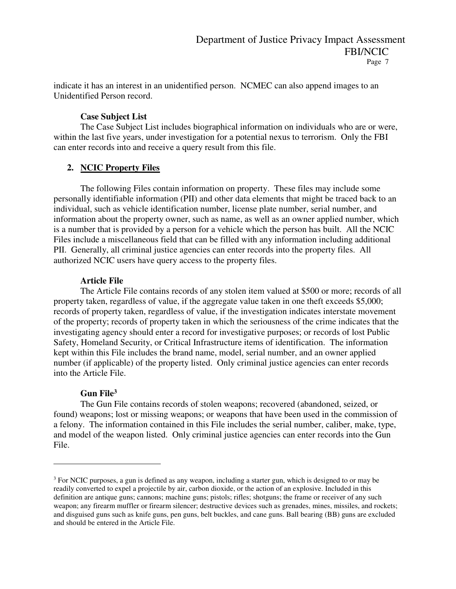indicate it has an interest in an unidentified person. NCMEC can also append images to an Unidentified Person record.

### **Case Subject List**

The Case Subject List includes biographical information on individuals who are or were, within the last five years, under investigation for a potential nexus to terrorism. Only the FBI can enter records into and receive a query result from this file.

### **2. NCIC Property Files**

The following Files contain information on property. These files may include some personally identifiable information (PII) and other data elements that might be traced back to an individual, such as vehicle identification number, license plate number, serial number, and information about the property owner, such as name, as well as an owner applied number, which is a number that is provided by a person for a vehicle which the person has built. All the NCIC Files include a miscellaneous field that can be filled with any information including additional PII. Generally, all criminal justice agencies can enter records into the property files. All authorized NCIC users have query access to the property files.

### **Article File**

The Article File contains records of any stolen item valued at \$500 or more; records of all property taken, regardless of value, if the aggregate value taken in one theft exceeds \$5,000; records of property taken, regardless of value, if the investigation indicates interstate movement of the property; records of property taken in which the seriousness of the crime indicates that the investigating agency should enter a record for investigative purposes; or records of lost Public Safety, Homeland Security, or Critical Infrastructure items of identification. The information kept within this File includes the brand name, model, serial number, and an owner applied number (if applicable) of the property listed. Only criminal justice agencies can enter records into the Article File.

### **Gun File<sup>3</sup>**

 $\overline{a}$ 

The Gun File contains records of stolen weapons; recovered (abandoned, seized, or found) weapons; lost or missing weapons; or weapons that have been used in the commission of a felony. The information contained in this File includes the serial number, caliber, make, type, and model of the weapon listed. Only criminal justice agencies can enter records into the Gun File.

<sup>&</sup>lt;sup>3</sup> For NCIC purposes, a gun is defined as any weapon, including a starter gun, which is designed to or may be readily converted to expel a projectile by air, carbon dioxide, or the action of an explosive. Included in this definition are antique guns; cannons; machine guns; pistols; rifles; shotguns; the frame or receiver of any such weapon; any firearm muffler or firearm silencer; destructive devices such as grenades, mines, missiles, and rockets; and disguised guns such as knife guns, pen guns, belt buckles, and cane guns. Ball bearing (BB) guns are excluded and should be entered in the Article File.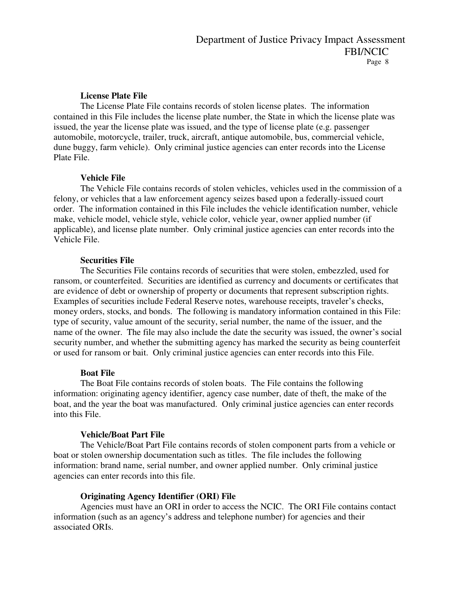### **License Plate File**

The License Plate File contains records of stolen license plates. The information contained in this File includes the license plate number, the State in which the license plate was issued, the year the license plate was issued, and the type of license plate (e.g. passenger automobile, motorcycle, trailer, truck, aircraft, antique automobile, bus, commercial vehicle, dune buggy, farm vehicle). Only criminal justice agencies can enter records into the License Plate File.

### **Vehicle File**

The Vehicle File contains records of stolen vehicles, vehicles used in the commission of a felony, or vehicles that a law enforcement agency seizes based upon a federally-issued court order. The information contained in this File includes the vehicle identification number, vehicle make, vehicle model, vehicle style, vehicle color, vehicle year, owner applied number (if applicable), and license plate number. Only criminal justice agencies can enter records into the Vehicle File.

#### **Securities File**

The Securities File contains records of securities that were stolen, embezzled, used for ransom, or counterfeited. Securities are identified as currency and documents or certificates that are evidence of debt or ownership of property or documents that represent subscription rights. Examples of securities include Federal Reserve notes, warehouse receipts, traveler's checks, money orders, stocks, and bonds. The following is mandatory information contained in this File: type of security, value amount of the security, serial number, the name of the issuer, and the name of the owner. The file may also include the date the security was issued, the owner's social security number, and whether the submitting agency has marked the security as being counterfeit or used for ransom or bait. Only criminal justice agencies can enter records into this File.

### **Boat File**

The Boat File contains records of stolen boats. The File contains the following information: originating agency identifier, agency case number, date of theft, the make of the boat, and the year the boat was manufactured. Only criminal justice agencies can enter records into this File.

### **Vehicle/Boat Part File**

The Vehicle/Boat Part File contains records of stolen component parts from a vehicle or boat or stolen ownership documentation such as titles. The file includes the following information: brand name, serial number, and owner applied number. Only criminal justice agencies can enter records into this file.

### **Originating Agency Identifier (ORI) File**

Agencies must have an ORI in order to access the NCIC. The ORI File contains contact information (such as an agency's address and telephone number) for agencies and their associated ORIs.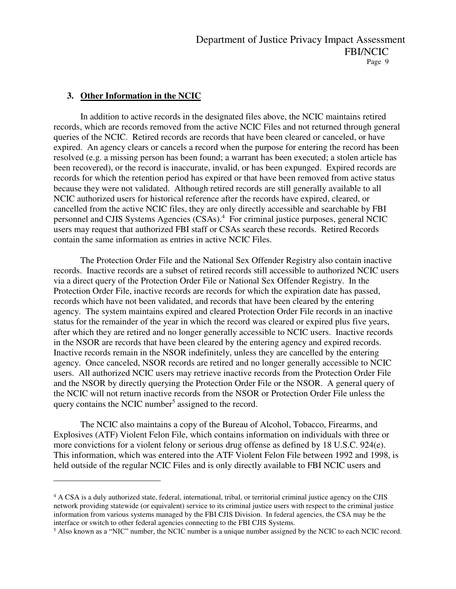### **3. Other Information in the NCIC**

 $\overline{a}$ 

In addition to active records in the designated files above, the NCIC maintains retired records, which are records removed from the active NCIC Files and not returned through general queries of the NCIC. Retired records are records that have been cleared or canceled, or have expired. An agency clears or cancels a record when the purpose for entering the record has been resolved (e.g. a missing person has been found; a warrant has been executed; a stolen article has been recovered), or the record is inaccurate, invalid, or has been expunged. Expired records are records for which the retention period has expired or that have been removed from active status because they were not validated. Although retired records are still generally available to all NCIC authorized users for historical reference after the records have expired, cleared, or cancelled from the active NCIC files, they are only directly accessible and searchable by FBI personnel and CJIS Systems Agencies (CSAs).<sup>4</sup> For criminal justice purposes, general NCIC users may request that authorized FBI staff or CSAs search these records. Retired Records contain the same information as entries in active NCIC Files.

The Protection Order File and the National Sex Offender Registry also contain inactive records. Inactive records are a subset of retired records still accessible to authorized NCIC users via a direct query of the Protection Order File or National Sex Offender Registry. In the Protection Order File, inactive records are records for which the expiration date has passed, records which have not been validated, and records that have been cleared by the entering agency. The system maintains expired and cleared Protection Order File records in an inactive status for the remainder of the year in which the record was cleared or expired plus five years, after which they are retired and no longer generally accessible to NCIC users. Inactive records in the NSOR are records that have been cleared by the entering agency and expired records. Inactive records remain in the NSOR indefinitely, unless they are cancelled by the entering agency. Once canceled, NSOR records are retired and no longer generally accessible to NCIC users. All authorized NCIC users may retrieve inactive records from the Protection Order File and the NSOR by directly querying the Protection Order File or the NSOR. A general query of the NCIC will not return inactive records from the NSOR or Protection Order File unless the query contains the NCIC number<sup>5</sup> assigned to the record.

The NCIC also maintains a copy of the Bureau of Alcohol, Tobacco, Firearms, and Explosives (ATF) Violent Felon File, which contains information on individuals with three or more convictions for a violent felony or serious drug offense as defined by 18 U.S.C. 924(e). This information, which was entered into the ATF Violent Felon File between 1992 and 1998, is held outside of the regular NCIC Files and is only directly available to FBI NCIC users and

<sup>&</sup>lt;sup>4</sup> A CSA is a duly authorized state, federal, international, tribal, or territorial criminal justice agency on the CJIS network providing statewide (or equivalent) service to its criminal justice users with respect to the criminal justice information from various systems managed by the FBI CJIS Division. In federal agencies, the CSA may be the interface or switch to other federal agencies connecting to the FBI CJIS Systems.

<sup>5</sup> Also known as a "NIC" number, the NCIC number is a unique number assigned by the NCIC to each NCIC record.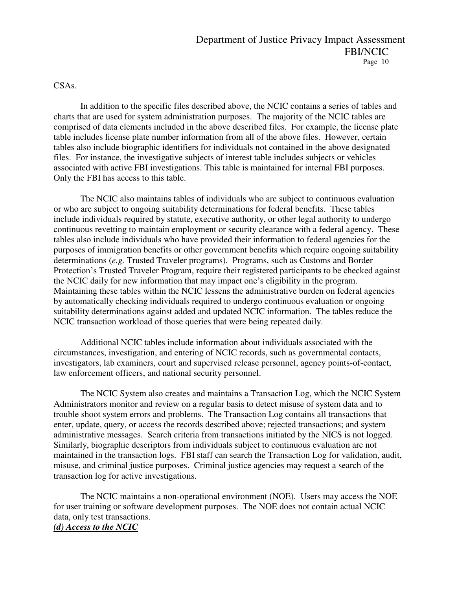### CSAs.

 In addition to the specific files described above, the NCIC contains a series of tables and charts that are used for system administration purposes. The majority of the NCIC tables are comprised of data elements included in the above described files. For example, the license plate table includes license plate number information from all of the above files. However, certain tables also include biographic identifiers for individuals not contained in the above designated files. For instance, the investigative subjects of interest table includes subjects or vehicles associated with active FBI investigations. This table is maintained for internal FBI purposes. Only the FBI has access to this table.

 The NCIC also maintains tables of individuals who are subject to continuous evaluation or who are subject to ongoing suitability determinations for federal benefits. These tables include individuals required by statute, executive authority, or other legal authority to undergo continuous revetting to maintain employment or security clearance with a federal agency. These tables also include individuals who have provided their information to federal agencies for the purposes of immigration benefits or other government benefits which require ongoing suitability determinations (*e.g.* Trusted Traveler programs). Programs, such as Customs and Border Protection's Trusted Traveler Program, require their registered participants to be checked against the NCIC daily for new information that may impact one's eligibility in the program. Maintaining these tables within the NCIC lessens the administrative burden on federal agencies by automatically checking individuals required to undergo continuous evaluation or ongoing suitability determinations against added and updated NCIC information. The tables reduce the NCIC transaction workload of those queries that were being repeated daily.

Additional NCIC tables include information about individuals associated with the circumstances, investigation, and entering of NCIC records, such as governmental contacts, investigators, lab examiners, court and supervised release personnel, agency points-of-contact, law enforcement officers, and national security personnel.

 The NCIC System also creates and maintains a Transaction Log, which the NCIC System Administrators monitor and review on a regular basis to detect misuse of system data and to trouble shoot system errors and problems. The Transaction Log contains all transactions that enter, update, query, or access the records described above; rejected transactions; and system administrative messages. Search criteria from transactions initiated by the NICS is not logged. Similarly, biographic descriptors from individuals subject to continuous evaluation are not maintained in the transaction logs. FBI staff can search the Transaction Log for validation, audit, misuse, and criminal justice purposes. Criminal justice agencies may request a search of the transaction log for active investigations.

 The NCIC maintains a non-operational environment (NOE). Users may access the NOE for user training or software development purposes. The NOE does not contain actual NCIC data, only test transactions. *(d) Access to the NCIC*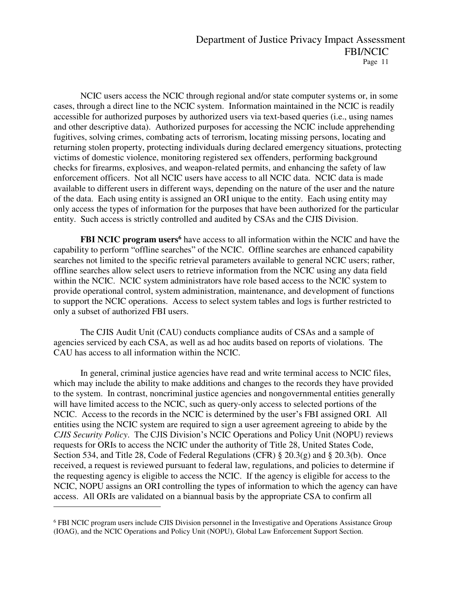NCIC users access the NCIC through regional and/or state computer systems or, in some cases, through a direct line to the NCIC system. Information maintained in the NCIC is readily accessible for authorized purposes by authorized users via text-based queries (i.e., using names and other descriptive data). Authorized purposes for accessing the NCIC include apprehending fugitives, solving crimes, combating acts of terrorism, locating missing persons, locating and returning stolen property, protecting individuals during declared emergency situations, protecting victims of domestic violence, monitoring registered sex offenders, performing background checks for firearms, explosives, and weapon-related permits, and enhancing the safety of law enforcement officers. Not all NCIC users have access to all NCIC data. NCIC data is made available to different users in different ways, depending on the nature of the user and the nature of the data. Each using entity is assigned an ORI unique to the entity. Each using entity may only access the types of information for the purposes that have been authorized for the particular entity. Such access is strictly controlled and audited by CSAs and the CJIS Division.

**FBI NCIC program users<sup>6</sup>** have access to all information within the NCIC and have the capability to perform "offline searches" of the NCIC. Offline searches are enhanced capability searches not limited to the specific retrieval parameters available to general NCIC users; rather, offline searches allow select users to retrieve information from the NCIC using any data field within the NCIC. NCIC system administrators have role based access to the NCIC system to provide operational control, system administration, maintenance, and development of functions to support the NCIC operations. Access to select system tables and logs is further restricted to only a subset of authorized FBI users.

The CJIS Audit Unit (CAU) conducts compliance audits of CSAs and a sample of agencies serviced by each CSA, as well as ad hoc audits based on reports of violations. The CAU has access to all information within the NCIC.

In general, criminal justice agencies have read and write terminal access to NCIC files, which may include the ability to make additions and changes to the records they have provided to the system. In contrast, noncriminal justice agencies and nongovernmental entities generally will have limited access to the NCIC, such as query-only access to selected portions of the NCIC. Access to the records in the NCIC is determined by the user's FBI assigned ORI. All entities using the NCIC system are required to sign a user agreement agreeing to abide by the *CJIS Security Policy*. The CJIS Division's NCIC Operations and Policy Unit (NOPU) reviews requests for ORIs to access the NCIC under the authority of Title 28, United States Code, Section 534, and Title 28, Code of Federal Regulations (CFR) § 20.3(g) and § 20.3(b). Once received, a request is reviewed pursuant to federal law, regulations, and policies to determine if the requesting agency is eligible to access the NCIC. If the agency is eligible for access to the NCIC, NOPU assigns an ORI controlling the types of information to which the agency can have access. All ORIs are validated on a biannual basis by the appropriate CSA to confirm all

 $\overline{a}$ 

<sup>6</sup> FBI NCIC program users include CJIS Division personnel in the Investigative and Operations Assistance Group (IOAG), and the NCIC Operations and Policy Unit (NOPU), Global Law Enforcement Support Section.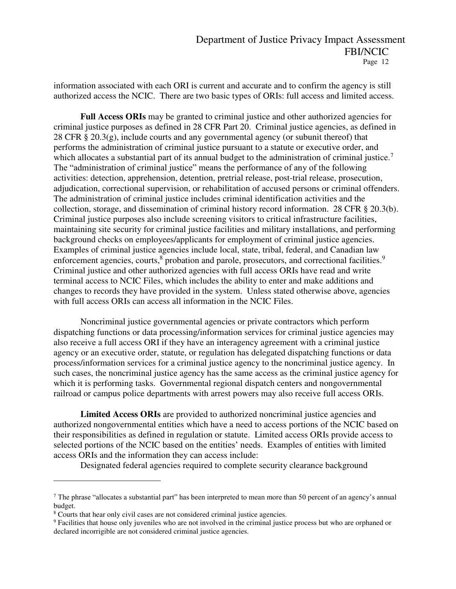information associated with each ORI is current and accurate and to confirm the agency is still authorized access the NCIC. There are two basic types of ORIs: full access and limited access.

Full Access ORIs may be granted to criminal justice and other authorized agencies for criminal justice purposes as defined in 28 CFR Part 20. Criminal justice agencies, as defined in 28 CFR § 20.3(g), include courts and any governmental agency (or subunit thereof) that performs the administration of criminal justice pursuant to a statute or executive order, and which allocates a substantial part of its annual budget to the administration of criminal justice.<sup>7</sup> The "administration of criminal justice" means the performance of any of the following activities: detection, apprehension, detention, pretrial release, post-trial release, prosecution, adjudication, correctional supervision, or rehabilitation of accused persons or criminal offenders. The administration of criminal justice includes criminal identification activities and the collection, storage, and dissemination of criminal history record information. 28 CFR § 20.3(b). Criminal justice purposes also include screening visitors to critical infrastructure facilities, maintaining site security for criminal justice facilities and military installations, and performing background checks on employees/applicants for employment of criminal justice agencies. Examples of criminal justice agencies include local, state, tribal, federal, and Canadian law enforcement agencies, courts,<sup>8</sup> probation and parole, prosecutors, and correctional facilities.<sup>9</sup> Criminal justice and other authorized agencies with full access ORIs have read and write terminal access to NCIC Files, which includes the ability to enter and make additions and changes to records they have provided in the system. Unless stated otherwise above, agencies with full access ORIs can access all information in the NCIC Files.

Noncriminal justice governmental agencies or private contractors which perform dispatching functions or data processing/information services for criminal justice agencies may also receive a full access ORI if they have an interagency agreement with a criminal justice agency or an executive order, statute, or regulation has delegated dispatching functions or data process/information services for a criminal justice agency to the noncriminal justice agency. In such cases, the noncriminal justice agency has the same access as the criminal justice agency for which it is performing tasks. Governmental regional dispatch centers and nongovernmental railroad or campus police departments with arrest powers may also receive full access ORIs.

**Limited Access ORIs** are provided to authorized noncriminal justice agencies and authorized nongovernmental entities which have a need to access portions of the NCIC based on their responsibilities as defined in regulation or statute. Limited access ORIs provide access to selected portions of the NCIC based on the entities' needs. Examples of entities with limited access ORIs and the information they can access include:

Designated federal agencies required to complete security clearance background

 $\overline{a}$ 

<sup>&</sup>lt;sup>7</sup> The phrase "allocates a substantial part" has been interpreted to mean more than 50 percent of an agency's annual budget.

<sup>&</sup>lt;sup>8</sup> Courts that hear only civil cases are not considered criminal justice agencies.

<sup>9</sup> Facilities that house only juveniles who are not involved in the criminal justice process but who are orphaned or declared incorrigible are not considered criminal justice agencies.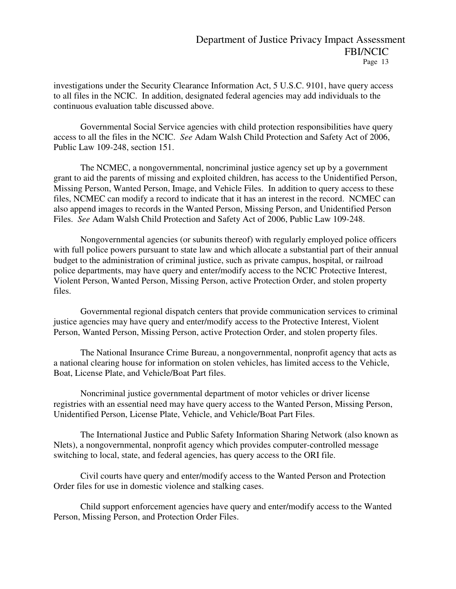investigations under the Security Clearance Information Act, 5 U.S.C. 9101, have query access to all files in the NCIC. In addition, designated federal agencies may add individuals to the continuous evaluation table discussed above.

Governmental Social Service agencies with child protection responsibilities have query access to all the files in the NCIC. *See* Adam Walsh Child Protection and Safety Act of 2006, Public Law 109-248, section 151.

The NCMEC, a nongovernmental, noncriminal justice agency set up by a government grant to aid the parents of missing and exploited children, has access to the Unidentified Person, Missing Person, Wanted Person, Image, and Vehicle Files. In addition to query access to these files, NCMEC can modify a record to indicate that it has an interest in the record. NCMEC can also append images to records in the Wanted Person, Missing Person, and Unidentified Person Files. *See* Adam Walsh Child Protection and Safety Act of 2006, Public Law 109-248.

Nongovernmental agencies (or subunits thereof) with regularly employed police officers with full police powers pursuant to state law and which allocate a substantial part of their annual budget to the administration of criminal justice, such as private campus, hospital, or railroad police departments, may have query and enter/modify access to the NCIC Protective Interest, Violent Person, Wanted Person, Missing Person, active Protection Order, and stolen property files.

Governmental regional dispatch centers that provide communication services to criminal justice agencies may have query and enter/modify access to the Protective Interest, Violent Person, Wanted Person, Missing Person, active Protection Order, and stolen property files.

The National Insurance Crime Bureau, a nongovernmental, nonprofit agency that acts as a national clearing house for information on stolen vehicles, has limited access to the Vehicle, Boat, License Plate, and Vehicle/Boat Part files.

Noncriminal justice governmental department of motor vehicles or driver license registries with an essential need may have query access to the Wanted Person, Missing Person, Unidentified Person, License Plate, Vehicle, and Vehicle/Boat Part Files.

The International Justice and Public Safety Information Sharing Network (also known as Nlets), a nongovernmental, nonprofit agency which provides computer-controlled message switching to local, state, and federal agencies, has query access to the ORI file.

Civil courts have query and enter/modify access to the Wanted Person and Protection Order files for use in domestic violence and stalking cases.

Child support enforcement agencies have query and enter/modify access to the Wanted Person, Missing Person, and Protection Order Files.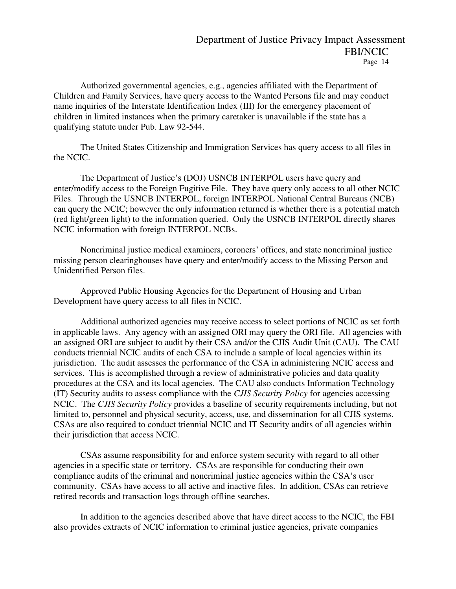Authorized governmental agencies, e.g., agencies affiliated with the Department of Children and Family Services, have query access to the Wanted Persons file and may conduct name inquiries of the Interstate Identification Index (III) for the emergency placement of children in limited instances when the primary caretaker is unavailable if the state has a qualifying statute under Pub. Law 92-544.

The United States Citizenship and Immigration Services has query access to all files in the NCIC.

The Department of Justice's (DOJ) USNCB INTERPOL users have query and enter/modify access to the Foreign Fugitive File. They have query only access to all other NCIC Files. Through the USNCB INTERPOL, foreign INTERPOL National Central Bureaus (NCB) can query the NCIC; however the only information returned is whether there is a potential match (red light/green light) to the information queried. Only the USNCB INTERPOL directly shares NCIC information with foreign INTERPOL NCBs.

Noncriminal justice medical examiners, coroners' offices, and state noncriminal justice missing person clearinghouses have query and enter/modify access to the Missing Person and Unidentified Person files.

Approved Public Housing Agencies for the Department of Housing and Urban Development have query access to all files in NCIC.

Additional authorized agencies may receive access to select portions of NCIC as set forth in applicable laws. Any agency with an assigned ORI may query the ORI file. All agencies with an assigned ORI are subject to audit by their CSA and/or the CJIS Audit Unit (CAU). The CAU conducts triennial NCIC audits of each CSA to include a sample of local agencies within its jurisdiction. The audit assesses the performance of the CSA in administering NCIC access and services. This is accomplished through a review of administrative policies and data quality procedures at the CSA and its local agencies. The CAU also conducts Information Technology (IT) Security audits to assess compliance with the *CJIS Security Policy* for agencies accessing NCIC. The *CJIS Security Policy* provides a baseline of security requirements including, but not limited to, personnel and physical security, access, use, and dissemination for all CJIS systems. CSAs are also required to conduct triennial NCIC and IT Security audits of all agencies within their jurisdiction that access NCIC.

CSAs assume responsibility for and enforce system security with regard to all other agencies in a specific state or territory. CSAs are responsible for conducting their own compliance audits of the criminal and noncriminal justice agencies within the CSA's user community. CSAs have access to all active and inactive files. In addition, CSAs can retrieve retired records and transaction logs through offline searches.

 In addition to the agencies described above that have direct access to the NCIC, the FBI also provides extracts of NCIC information to criminal justice agencies, private companies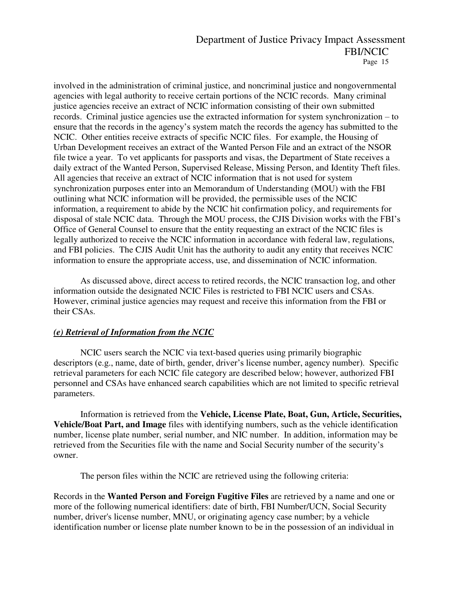involved in the administration of criminal justice, and noncriminal justice and nongovernmental agencies with legal authority to receive certain portions of the NCIC records. Many criminal justice agencies receive an extract of NCIC information consisting of their own submitted records. Criminal justice agencies use the extracted information for system synchronization – to ensure that the records in the agency's system match the records the agency has submitted to the NCIC. Other entities receive extracts of specific NCIC files. For example, the Housing of Urban Development receives an extract of the Wanted Person File and an extract of the NSOR file twice a year. To vet applicants for passports and visas, the Department of State receives a daily extract of the Wanted Person, Supervised Release, Missing Person, and Identity Theft files. All agencies that receive an extract of NCIC information that is not used for system synchronization purposes enter into an Memorandum of Understanding (MOU) with the FBI outlining what NCIC information will be provided, the permissible uses of the NCIC information, a requirement to abide by the NCIC hit confirmation policy, and requirements for disposal of stale NCIC data. Through the MOU process, the CJIS Division works with the FBI's Office of General Counsel to ensure that the entity requesting an extract of the NCIC files is legally authorized to receive the NCIC information in accordance with federal law, regulations, and FBI policies. The CJIS Audit Unit has the authority to audit any entity that receives NCIC information to ensure the appropriate access, use, and dissemination of NCIC information.

 As discussed above, direct access to retired records, the NCIC transaction log, and other information outside the designated NCIC Files is restricted to FBI NCIC users and CSAs. However, criminal justice agencies may request and receive this information from the FBI or their CSAs.

### *(e) Retrieval of Information from the NCIC*

 NCIC users search the NCIC via text-based queries using primarily biographic descriptors (e.g., name, date of birth, gender, driver's license number, agency number). Specific retrieval parameters for each NCIC file category are described below; however, authorized FBI personnel and CSAs have enhanced search capabilities which are not limited to specific retrieval parameters.

 Information is retrieved from the **Vehicle, License Plate, Boat, Gun, Article, Securities, Vehicle/Boat Part, and Image** files with identifying numbers, such as the vehicle identification number, license plate number, serial number, and NIC number. In addition, information may be retrieved from the Securities file with the name and Social Security number of the security's owner.

The person files within the NCIC are retrieved using the following criteria:

Records in the **Wanted Person and Foreign Fugitive Files** are retrieved by a name and one or more of the following numerical identifiers: date of birth, FBI Number/UCN, Social Security number, driver's license number, MNU, or originating agency case number; by a vehicle identification number or license plate number known to be in the possession of an individual in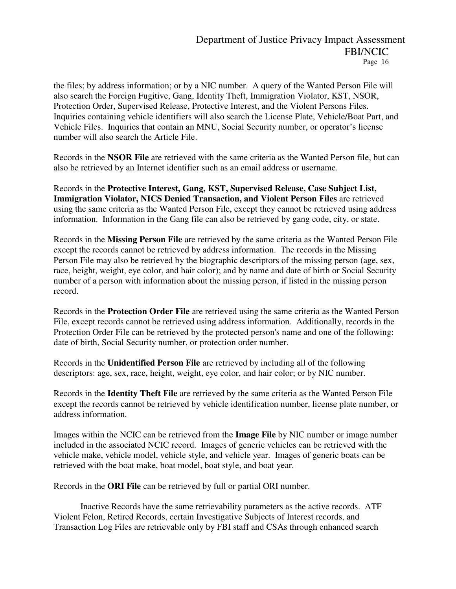the files; by address information; or by a NIC number. A query of the Wanted Person File will also search the Foreign Fugitive, Gang, Identity Theft, Immigration Violator, KST, NSOR, Protection Order, Supervised Release, Protective Interest, and the Violent Persons Files. Inquiries containing vehicle identifiers will also search the License Plate, Vehicle/Boat Part, and Vehicle Files. Inquiries that contain an MNU, Social Security number, or operator's license number will also search the Article File.

Records in the **NSOR File** are retrieved with the same criteria as the Wanted Person file, but can also be retrieved by an Internet identifier such as an email address or username.

Records in the **Protective Interest, Gang, KST, Supervised Release, Case Subject List, Immigration Violator, NICS Denied Transaction, and Violent Person Files** are retrieved using the same criteria as the Wanted Person File, except they cannot be retrieved using address information. Information in the Gang file can also be retrieved by gang code, city, or state.

Records in the **Missing Person File** are retrieved by the same criteria as the Wanted Person File except the records cannot be retrieved by address information. The records in the Missing Person File may also be retrieved by the biographic descriptors of the missing person (age, sex, race, height, weight, eye color, and hair color); and by name and date of birth or Social Security number of a person with information about the missing person, if listed in the missing person record.

Records in the **Protection Order File** are retrieved using the same criteria as the Wanted Person File, except records cannot be retrieved using address information. Additionally, records in the Protection Order File can be retrieved by the protected person's name and one of the following: date of birth, Social Security number, or protection order number.

Records in the **Unidentified Person File** are retrieved by including all of the following descriptors: age, sex, race, height, weight, eye color, and hair color; or by NIC number.

Records in the **Identity Theft File** are retrieved by the same criteria as the Wanted Person File except the records cannot be retrieved by vehicle identification number, license plate number, or address information.

Images within the NCIC can be retrieved from the **Image File** by NIC number or image number included in the associated NCIC record. Images of generic vehicles can be retrieved with the vehicle make, vehicle model, vehicle style, and vehicle year. Images of generic boats can be retrieved with the boat make, boat model, boat style, and boat year.

Records in the **ORI File** can be retrieved by full or partial ORI number.

 Inactive Records have the same retrievability parameters as the active records. ATF Violent Felon, Retired Records, certain Investigative Subjects of Interest records, and Transaction Log Files are retrievable only by FBI staff and CSAs through enhanced search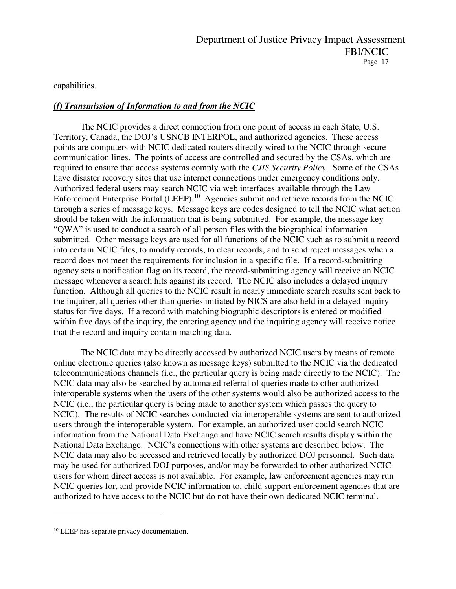capabilities.

### *(f) Transmission of Information to and from the NCIC*

The NCIC provides a direct connection from one point of access in each State, U.S. Territory, Canada, the DOJ's USNCB INTERPOL, and authorized agencies. These access points are computers with NCIC dedicated routers directly wired to the NCIC through secure communication lines. The points of access are controlled and secured by the CSAs, which are required to ensure that access systems comply with the *CJIS Security Policy*. Some of the CSAs have disaster recovery sites that use internet connections under emergency conditions only. Authorized federal users may search NCIC via web interfaces available through the Law Enforcement Enterprise Portal (LEEP).<sup>10</sup> Agencies submit and retrieve records from the NCIC through a series of message keys. Message keys are codes designed to tell the NCIC what action should be taken with the information that is being submitted. For example, the message key "QWA" is used to conduct a search of all person files with the biographical information submitted. Other message keys are used for all functions of the NCIC such as to submit a record into certain NCIC files, to modify records, to clear records, and to send reject messages when a record does not meet the requirements for inclusion in a specific file. If a record-submitting agency sets a notification flag on its record, the record-submitting agency will receive an NCIC message whenever a search hits against its record. The NCIC also includes a delayed inquiry function. Although all queries to the NCIC result in nearly immediate search results sent back to the inquirer, all queries other than queries initiated by NICS are also held in a delayed inquiry status for five days. If a record with matching biographic descriptors is entered or modified within five days of the inquiry, the entering agency and the inquiring agency will receive notice that the record and inquiry contain matching data.

 The NCIC data may be directly accessed by authorized NCIC users by means of remote online electronic queries (also known as message keys) submitted to the NCIC via the dedicated telecommunications channels (i.e., the particular query is being made directly to the NCIC). The NCIC data may also be searched by automated referral of queries made to other authorized interoperable systems when the users of the other systems would also be authorized access to the NCIC (i.e., the particular query is being made to another system which passes the query to NCIC). The results of NCIC searches conducted via interoperable systems are sent to authorized users through the interoperable system. For example, an authorized user could search NCIC information from the National Data Exchange and have NCIC search results display within the National Data Exchange. NCIC's connections with other systems are described below. The NCIC data may also be accessed and retrieved locally by authorized DOJ personnel. Such data may be used for authorized DOJ purposes, and/or may be forwarded to other authorized NCIC users for whom direct access is not available. For example, law enforcement agencies may run NCIC queries for, and provide NCIC information to, child support enforcement agencies that are authorized to have access to the NCIC but do not have their own dedicated NCIC terminal.

 $\overline{a}$ 

<sup>&</sup>lt;sup>10</sup> LEEP has separate privacy documentation.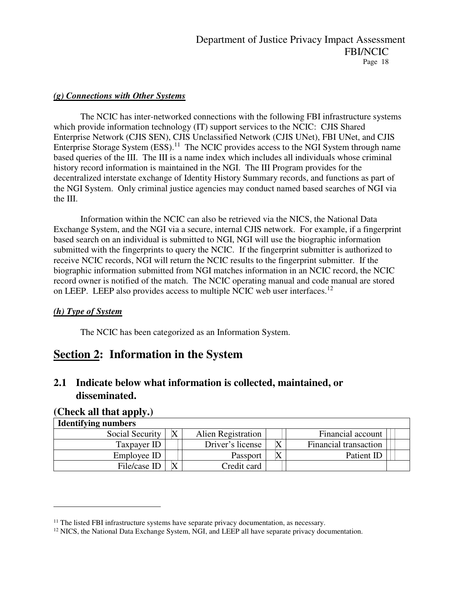### *(g) Connections with Other Systems*

The NCIC has inter-networked connections with the following FBI infrastructure systems which provide information technology (IT) support services to the NCIC: CJIS Shared Enterprise Network (CJIS SEN), CJIS Unclassified Network (CJIS UNet), FBI UNet, and CJIS Enterprise Storage System (ESS).<sup>11</sup> The NCIC provides access to the NGI System through name based queries of the III. The III is a name index which includes all individuals whose criminal history record information is maintained in the NGI. The III Program provides for the decentralized interstate exchange of Identity History Summary records, and functions as part of the NGI System. Only criminal justice agencies may conduct named based searches of NGI via the III.

Information within the NCIC can also be retrieved via the NICS, the National Data Exchange System, and the NGI via a secure, internal CJIS network. For example, if a fingerprint based search on an individual is submitted to NGI, NGI will use the biographic information submitted with the fingerprints to query the NCIC. If the fingerprint submitter is authorized to receive NCIC records, NGI will return the NCIC results to the fingerprint submitter. If the biographic information submitted from NGI matches information in an NCIC record, the NCIC record owner is notified of the match. The NCIC operating manual and code manual are stored on LEEP. LEEP also provides access to multiple NCIC web user interfaces.<sup>12</sup>

### *(h) Type of System*

The NCIC has been categorized as an Information System.

# **Section 2: Information in the System**

# **2.1 Indicate below what information is collected, maintained, or disseminated.**

### **(Check all that apply.)**

 $\overline{a}$ 

| <b>Identifying numbers</b> |  |                    |  |                       |  |  |  |  |
|----------------------------|--|--------------------|--|-----------------------|--|--|--|--|
| Social Security            |  | Alien Registration |  | Financial account     |  |  |  |  |
| Taxpayer ID                |  | Driver's license   |  | Financial transaction |  |  |  |  |
| Employee ID                |  | <b>Passport</b>    |  | Patient ID            |  |  |  |  |
| File/case ID               |  | Credit card        |  |                       |  |  |  |  |

 $11$  The listed FBI infrastructure systems have separate privacy documentation, as necessary.

<sup>&</sup>lt;sup>12</sup> NICS, the National Data Exchange System, NGI, and LEEP all have separate privacy documentation.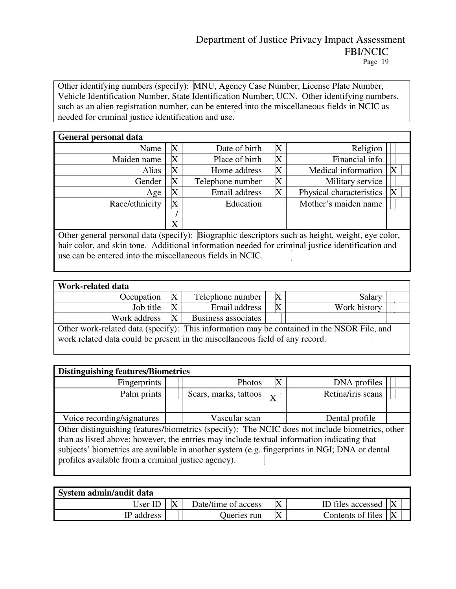Other identifying numbers (specify): MNU, Agency Case Number, License Plate Number, Vehicle Identification Number, State Identification Number; UCN. Other identifying numbers, such as an alien registration number, can be entered into the miscellaneous fields in NCIC as needed for criminal justice identification and use.

| <b>General personal data</b>                                                                  |   |                  |   |                          |   |  |  |
|-----------------------------------------------------------------------------------------------|---|------------------|---|--------------------------|---|--|--|
| Religion<br>Date of birth<br>X<br>Name<br>X                                                   |   |                  |   |                          |   |  |  |
| Maiden name                                                                                   | X | Place of birth   | X | Financial info           |   |  |  |
| Alias                                                                                         | X | Home address     | X | Medical information      |   |  |  |
| Gender                                                                                        | Χ | Telephone number | Χ | Military service         |   |  |  |
| Age                                                                                           | Χ | Email address    | Χ | Physical characteristics | X |  |  |
| Race/ethnicity                                                                                | X | Education        |   | Mother's maiden name     |   |  |  |
|                                                                                               |   |                  |   |                          |   |  |  |
|                                                                                               | X |                  |   |                          |   |  |  |
| Other general personal data (specify): Riographic descriptors such as height weight eye color |   |                  |   |                          |   |  |  |

Other general personal data (specify): Biographic descriptors such as height, weight, eye color, hair color, and skin tone. Additional information needed for criminal justice identification and use can be entered into the miscellaneous fields in NCIC.

| Work-related data                                                                                                                                                          |   |                     |   |              |  |  |  |
|----------------------------------------------------------------------------------------------------------------------------------------------------------------------------|---|---------------------|---|--------------|--|--|--|
| Occupation                                                                                                                                                                 |   | Telephone number    | Χ | Salary       |  |  |  |
| Job title                                                                                                                                                                  |   | Email address       |   | Work history |  |  |  |
| Work address                                                                                                                                                               | X | Business associates |   |              |  |  |  |
| Other work-related data (specify): This information may be contained in the NSOR File, and<br>work related data could be present in the miscellaneous field of any record. |   |                     |   |              |  |  |  |

|  | <b>Distinguishing features/Biometrics</b> |
|--|-------------------------------------------|
|  |                                           |

| Distinguishing Teaten os Divincertos                                                            |                                                               |                       |   |                   |  |  |  |  |
|-------------------------------------------------------------------------------------------------|---------------------------------------------------------------|-----------------------|---|-------------------|--|--|--|--|
| Fingerprints                                                                                    |                                                               | Photos                | Х | DNA profiles      |  |  |  |  |
| Palm prints                                                                                     |                                                               | Scars, marks, tattoos | X | Retina/iris scans |  |  |  |  |
|                                                                                                 |                                                               |                       |   |                   |  |  |  |  |
|                                                                                                 | Voice recording/signatures<br>Vascular scan<br>Dental profile |                       |   |                   |  |  |  |  |
| Other distinguishing features/biometrics (specify): The NCIC does not include biometrics, other |                                                               |                       |   |                   |  |  |  |  |
| than as listed above; however, the entries may include textual information indicating that      |                                                               |                       |   |                   |  |  |  |  |
| subjects' biometrics are available in another system (e.g. fingerprints in NGI; DNA or dental   |                                                               |                       |   |                   |  |  |  |  |
| profiles available from a criminal justice agency).                                             |                                                               |                       |   |                   |  |  |  |  |
|                                                                                                 |                                                               |                       |   |                   |  |  |  |  |
|                                                                                                 |                                                               |                       |   |                   |  |  |  |  |

| System admin/audit data                                  |  |             |           |                   |  |  |  |
|----------------------------------------------------------|--|-------------|-----------|-------------------|--|--|--|
| ID files accessed<br>Date/time of access<br>Jser ID<br>⋀ |  |             |           |                   |  |  |  |
| IP address                                               |  | Jueries run | $\Lambda$ | Contents of files |  |  |  |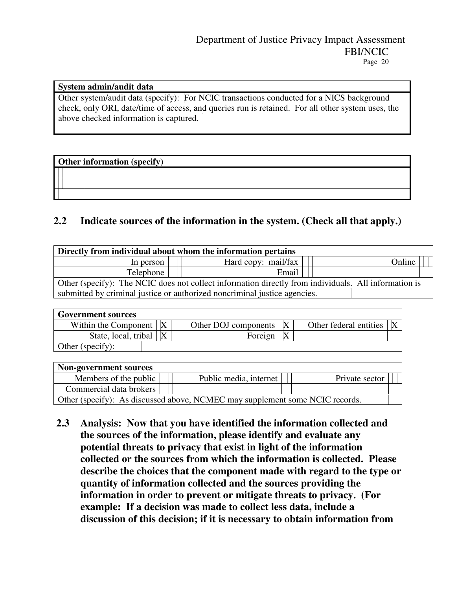### **System admin/audit data**

Other system/audit data (specify): For NCIC transactions conducted for a NICS background check, only ORI, date/time of access, and queries run is retained. For all other system uses, the above checked information is captured.

### **Other information (specify)**

## **2.2 Indicate sources of the information in the system. (Check all that apply.)**

| Directly from individual about whom the information pertains                                         |       |  |  |  |  |  |  |
|------------------------------------------------------------------------------------------------------|-------|--|--|--|--|--|--|
| Hard copy: mail/fax<br>Online<br>In person                                                           |       |  |  |  |  |  |  |
| Telephone                                                                                            | Email |  |  |  |  |  |  |
| Other (specify): The NCIC does not collect information directly from individuals. All information is |       |  |  |  |  |  |  |
| submitted by criminal justice or authorized noncriminal justice agencies.                            |       |  |  |  |  |  |  |

| <b>Government sources</b> |  |                            |  |                        |  |  |  |  |
|---------------------------|--|----------------------------|--|------------------------|--|--|--|--|
| Within the Component      |  | Other DOJ components $ X $ |  | Other federal entities |  |  |  |  |
| State, local, tribal      |  | Foreign                    |  |                        |  |  |  |  |
| Other (specify):          |  |                            |  |                        |  |  |  |  |

| <b>Non-government sources</b>                                                |  |                        |  |                |  |  |  |  |
|------------------------------------------------------------------------------|--|------------------------|--|----------------|--|--|--|--|
| Members of the public                                                        |  | Public media, internet |  | Private sector |  |  |  |  |
| Commercial data brokers                                                      |  |                        |  |                |  |  |  |  |
| Other (specify): As discussed above, NCMEC may supplement some NCIC records. |  |                        |  |                |  |  |  |  |

**2.3 Analysis: Now that you have identified the information collected and the sources of the information, please identify and evaluate any potential threats to privacy that exist in light of the information collected or the sources from which the information is collected. Please describe the choices that the component made with regard to the type or quantity of information collected and the sources providing the information in order to prevent or mitigate threats to privacy. (For example: If a decision was made to collect less data, include a discussion of this decision; if it is necessary to obtain information from**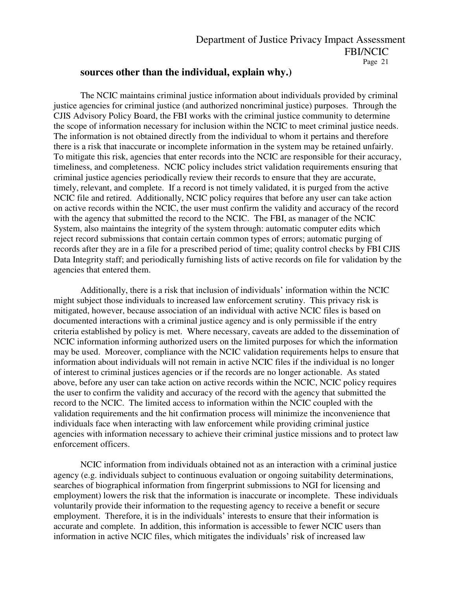### **sources other than the individual, explain why.)**

The NCIC maintains criminal justice information about individuals provided by criminal justice agencies for criminal justice (and authorized noncriminal justice) purposes. Through the CJIS Advisory Policy Board, the FBI works with the criminal justice community to determine the scope of information necessary for inclusion within the NCIC to meet criminal justice needs. The information is not obtained directly from the individual to whom it pertains and therefore there is a risk that inaccurate or incomplete information in the system may be retained unfairly. To mitigate this risk, agencies that enter records into the NCIC are responsible for their accuracy, timeliness, and completeness. NCIC policy includes strict validation requirements ensuring that criminal justice agencies periodically review their records to ensure that they are accurate, timely, relevant, and complete. If a record is not timely validated, it is purged from the active NCIC file and retired. Additionally, NCIC policy requires that before any user can take action on active records within the NCIC, the user must confirm the validity and accuracy of the record with the agency that submitted the record to the NCIC. The FBI, as manager of the NCIC System, also maintains the integrity of the system through: automatic computer edits which reject record submissions that contain certain common types of errors; automatic purging of records after they are in a file for a prescribed period of time; quality control checks by FBI CJIS Data Integrity staff; and periodically furnishing lists of active records on file for validation by the agencies that entered them.

Additionally, there is a risk that inclusion of individuals' information within the NCIC might subject those individuals to increased law enforcement scrutiny. This privacy risk is mitigated, however, because association of an individual with active NCIC files is based on documented interactions with a criminal justice agency and is only permissible if the entry criteria established by policy is met. Where necessary, caveats are added to the dissemination of NCIC information informing authorized users on the limited purposes for which the information may be used. Moreover, compliance with the NCIC validation requirements helps to ensure that information about individuals will not remain in active NCIC files if the individual is no longer of interest to criminal justices agencies or if the records are no longer actionable. As stated above, before any user can take action on active records within the NCIC, NCIC policy requires the user to confirm the validity and accuracy of the record with the agency that submitted the record to the NCIC. The limited access to information within the NCIC coupled with the validation requirements and the hit confirmation process will minimize the inconvenience that individuals face when interacting with law enforcement while providing criminal justice agencies with information necessary to achieve their criminal justice missions and to protect law enforcement officers.

 NCIC information from individuals obtained not as an interaction with a criminal justice agency (e.g. individuals subject to continuous evaluation or ongoing suitability determinations, searches of biographical information from fingerprint submissions to NGI for licensing and employment) lowers the risk that the information is inaccurate or incomplete. These individuals voluntarily provide their information to the requesting agency to receive a benefit or secure employment. Therefore, it is in the individuals' interests to ensure that their information is accurate and complete. In addition, this information is accessible to fewer NCIC users than information in active NCIC files, which mitigates the individuals' risk of increased law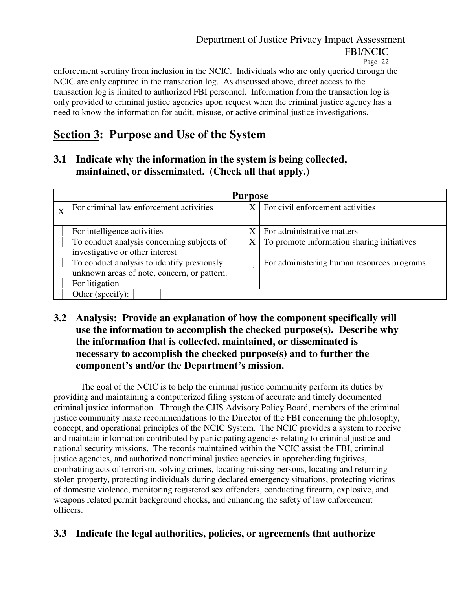enforcement scrutiny from inclusion in the NCIC. Individuals who are only queried through the NCIC are only captured in the transaction log. As discussed above, direct access to the transaction log is limited to authorized FBI personnel. Information from the transaction log is only provided to criminal justice agencies upon request when the criminal justice agency has a need to know the information for audit, misuse, or active criminal justice investigations.

# **Section 3: Purpose and Use of the System**

**3.1 Indicate why the information in the system is being collected, maintained, or disseminated. (Check all that apply.)** 

| <b>Purpose</b>                              |             |                                            |  |  |  |  |  |  |  |  |
|---------------------------------------------|-------------|--------------------------------------------|--|--|--|--|--|--|--|--|
| For criminal law enforcement activities     | X           | For civil enforcement activities           |  |  |  |  |  |  |  |  |
|                                             |             |                                            |  |  |  |  |  |  |  |  |
| For intelligence activities                 |             | For administrative matters                 |  |  |  |  |  |  |  |  |
| To conduct analysis concerning subjects of  | $\mathbf X$ | To promote information sharing initiatives |  |  |  |  |  |  |  |  |
| investigative or other interest             |             |                                            |  |  |  |  |  |  |  |  |
| To conduct analysis to identify previously  |             | For administering human resources programs |  |  |  |  |  |  |  |  |
| unknown areas of note, concern, or pattern. |             |                                            |  |  |  |  |  |  |  |  |
| For litigation                              |             |                                            |  |  |  |  |  |  |  |  |
| Other (specify):                            |             |                                            |  |  |  |  |  |  |  |  |

# **3.2 Analysis: Provide an explanation of how the component specifically will use the information to accomplish the checked purpose(s). Describe why the information that is collected, maintained, or disseminated is necessary to accomplish the checked purpose(s) and to further the component's and/or the Department's mission.**

The goal of the NCIC is to help the criminal justice community perform its duties by providing and maintaining a computerized filing system of accurate and timely documented criminal justice information. Through the CJIS Advisory Policy Board, members of the criminal justice community make recommendations to the Director of the FBI concerning the philosophy, concept, and operational principles of the NCIC System. The NCIC provides a system to receive and maintain information contributed by participating agencies relating to criminal justice and national security missions. The records maintained within the NCIC assist the FBI, criminal justice agencies, and authorized noncriminal justice agencies in apprehending fugitives, combatting acts of terrorism, solving crimes, locating missing persons, locating and returning stolen property, protecting individuals during declared emergency situations, protecting victims of domestic violence, monitoring registered sex offenders, conducting firearm, explosive, and weapons related permit background checks, and enhancing the safety of law enforcement officers.

# **3.3 Indicate the legal authorities, policies, or agreements that authorize**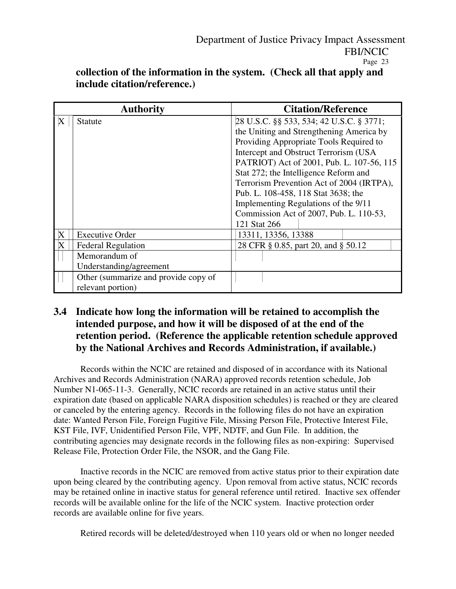|   | <b>Authority</b>                     | <b>Citation/Reference</b>                 |  |  |  |  |
|---|--------------------------------------|-------------------------------------------|--|--|--|--|
| X | Statute                              | 28 U.S.C. §§ 533, 534; 42 U.S.C. § 3771;  |  |  |  |  |
|   |                                      | the Uniting and Strengthening America by  |  |  |  |  |
|   |                                      | Providing Appropriate Tools Required to   |  |  |  |  |
|   |                                      | Intercept and Obstruct Terrorism (USA)    |  |  |  |  |
|   |                                      | PATRIOT) Act of 2001, Pub. L. 107-56, 115 |  |  |  |  |
|   |                                      | Stat 272; the Intelligence Reform and     |  |  |  |  |
|   |                                      | Terrorism Prevention Act of 2004 (IRTPA), |  |  |  |  |
|   |                                      | Pub. L. 108-458, 118 Stat 3638; the       |  |  |  |  |
|   |                                      | Implementing Regulations of the 9/11      |  |  |  |  |
|   |                                      | Commission Act of 2007, Pub. L. 110-53,   |  |  |  |  |
|   |                                      | 121 Stat 266                              |  |  |  |  |
| X | <b>Executive Order</b>               | 13311, 13356, 13388                       |  |  |  |  |
| X | <b>Federal Regulation</b>            | 28 CFR § 0.85, part 20, and § 50.12       |  |  |  |  |
|   | Memorandum of                        |                                           |  |  |  |  |
|   | Understanding/agreement              |                                           |  |  |  |  |
|   | Other (summarize and provide copy of |                                           |  |  |  |  |
|   | relevant portion)                    |                                           |  |  |  |  |

**collection of the information in the system. (Check all that apply and include citation/reference.)** 

## **3.4 Indicate how long the information will be retained to accomplish the intended purpose, and how it will be disposed of at the end of the retention period. (Reference the applicable retention schedule approved by the National Archives and Records Administration, if available.)**

Records within the NCIC are retained and disposed of in accordance with its National Archives and Records Administration (NARA) approved records retention schedule, Job Number N1-065-11-3. Generally, NCIC records are retained in an active status until their expiration date (based on applicable NARA disposition schedules) is reached or they are cleared or canceled by the entering agency. Records in the following files do not have an expiration date: Wanted Person File, Foreign Fugitive File, Missing Person File, Protective Interest File, KST File, IVF, Unidentified Person File, VPF, NDTF, and Gun File. In addition, the contributing agencies may designate records in the following files as non-expiring: Supervised Release File, Protection Order File, the NSOR, and the Gang File.

 Inactive records in the NCIC are removed from active status prior to their expiration date upon being cleared by the contributing agency. Upon removal from active status, NCIC records may be retained online in inactive status for general reference until retired. Inactive sex offender records will be available online for the life of the NCIC system. Inactive protection order records are available online for five years.

Retired records will be deleted/destroyed when 110 years old or when no longer needed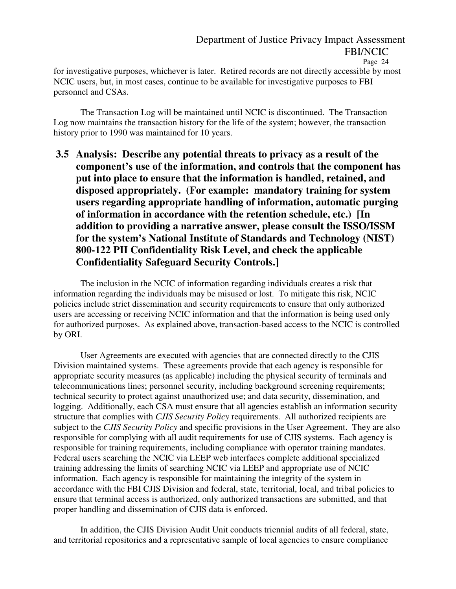for investigative purposes, whichever is later. Retired records are not directly accessible by most NCIC users, but, in most cases, continue to be available for investigative purposes to FBI personnel and CSAs.

 The Transaction Log will be maintained until NCIC is discontinued. The Transaction Log now maintains the transaction history for the life of the system; however, the transaction history prior to 1990 was maintained for 10 years.

**3.5 Analysis: Describe any potential threats to privacy as a result of the component's use of the information, and controls that the component has put into place to ensure that the information is handled, retained, and disposed appropriately. (For example: mandatory training for system users regarding appropriate handling of information, automatic purging of information in accordance with the retention schedule, etc.) [In addition to providing a narrative answer, please consult the ISSO/ISSM for the system's National Institute of Standards and Technology (NIST) 800-122 PII Confidentiality Risk Level, and check the applicable Confidentiality Safeguard Security Controls.]** 

The inclusion in the NCIC of information regarding individuals creates a risk that information regarding the individuals may be misused or lost. To mitigate this risk, NCIC policies include strict dissemination and security requirements to ensure that only authorized users are accessing or receiving NCIC information and that the information is being used only for authorized purposes. As explained above, transaction-based access to the NCIC is controlled by ORI.

User Agreements are executed with agencies that are connected directly to the CJIS Division maintained systems. These agreements provide that each agency is responsible for appropriate security measures (as applicable) including the physical security of terminals and telecommunications lines; personnel security, including background screening requirements; technical security to protect against unauthorized use; and data security, dissemination, and logging. Additionally, each CSA must ensure that all agencies establish an information security structure that complies with *CJIS Security Policy* requirements. All authorized recipients are subject to the *CJIS Security Policy* and specific provisions in the User Agreement. They are also responsible for complying with all audit requirements for use of CJIS systems. Each agency is responsible for training requirements, including compliance with operator training mandates. Federal users searching the NCIC via LEEP web interfaces complete additional specialized training addressing the limits of searching NCIC via LEEP and appropriate use of NCIC information. Each agency is responsible for maintaining the integrity of the system in accordance with the FBI CJIS Division and federal, state, territorial, local, and tribal policies to ensure that terminal access is authorized, only authorized transactions are submitted, and that proper handling and dissemination of CJIS data is enforced.

In addition, the CJIS Division Audit Unit conducts triennial audits of all federal, state, and territorial repositories and a representative sample of local agencies to ensure compliance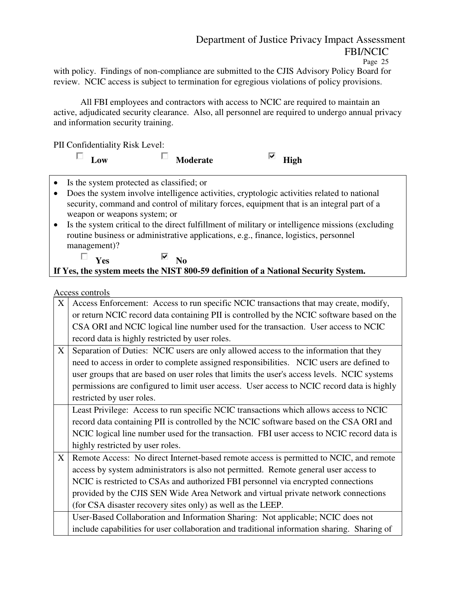with policy. Findings of non-compliance are submitted to the CJIS Advisory Policy Board for review. NCIC access is subject to termination for egregious violations of policy provisions.

All FBI employees and contractors with access to NCIC are required to maintain an active, adjudicated security clearance. Also, all personnel are required to undergo annual privacy and information security training.

PII Confidentiality Risk Level:

| $\Box$ Low                                  | <b>Moderate</b>                                                                               | High |  |
|---------------------------------------------|-----------------------------------------------------------------------------------------------|------|--|
| • Is the system protected as classified; or |                                                                                               |      |  |
|                                             | • Does the system involve intelligence activities, cryptologic activities related to national |      |  |
|                                             | cocurity command and control of military forces equipment that is an integral part of a       |      |  |

- security, command and control of military forces, equipment that is an integral part of a weapon or weapons system; or
- Is the system critical to the direct fulfillment of military or intelligence missions (excluding routine business or administrative applications, e.g., finance, logistics, personnel management)?

# $\Box$  **Yes**  $\Box$  **No If Yes, the system meets the NIST 800-59 definition of a National Security System.**

### Access controls

| X | Access Enforcement: Access to run specific NCIC transactions that may create, modify,       |
|---|---------------------------------------------------------------------------------------------|
|   | or return NCIC record data containing PII is controlled by the NCIC software based on the   |
|   | CSA ORI and NCIC logical line number used for the transaction. User access to NCIC          |
|   | record data is highly restricted by user roles.                                             |
| X | Separation of Duties: NCIC users are only allowed access to the information that they       |
|   | need to access in order to complete assigned responsibilities. NCIC users are defined to    |
|   | user groups that are based on user roles that limits the user's access levels. NCIC systems |
|   | permissions are configured to limit user access. User access to NCIC record data is highly  |
|   | restricted by user roles.                                                                   |
|   | Least Privilege: Access to run specific NCIC transactions which allows access to NCIC       |
|   | record data containing PII is controlled by the NCIC software based on the CSA ORI and      |
|   | NCIC logical line number used for the transaction. FBI user access to NCIC record data is   |
|   | highly restricted by user roles.                                                            |
| X | Remote Access: No direct Internet-based remote access is permitted to NCIC, and remote      |
|   | access by system administrators is also not permitted. Remote general user access to        |
|   | NCIC is restricted to CSAs and authorized FBI personnel via encrypted connections           |
|   | provided by the CJIS SEN Wide Area Network and virtual private network connections          |
|   | (for CSA disaster recovery sites only) as well as the LEEP.                                 |
|   | User-Based Collaboration and Information Sharing: Not applicable; NCIC does not             |
|   | include capabilities for user collaboration and traditional information sharing. Sharing of |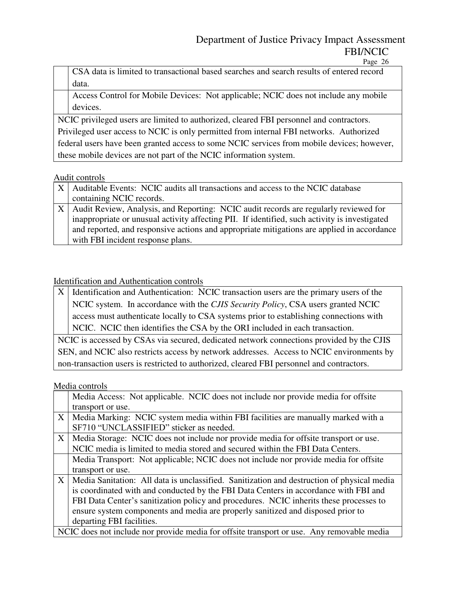Page 26

CSA data is limited to transactional based searches and search results of entered record data.

Access Control for Mobile Devices: Not applicable; NCIC does not include any mobile devices.

NCIC privileged users are limited to authorized, cleared FBI personnel and contractors. Privileged user access to NCIC is only permitted from internal FBI networks. Authorized federal users have been granted access to some NCIC services from mobile devices; however, these mobile devices are not part of the NCIC information system.

### Audit controls

| X   Auditable Events: NCIC audits all transactions and access to the NCIC database                                            |
|-------------------------------------------------------------------------------------------------------------------------------|
| containing NCIC records.                                                                                                      |
| X Audit Review, Analysis, and Reporting: NCIC audit records are regularly reviewed for                                        |
| $\Box$ . In concerning to an increase of continue $\Delta G$ and $\Delta G$ and $\Box$ and a contribution in increasing the d |

inappropriate or unusual activity affecting PII. If identified, such activity is investigated and reported, and responsive actions and appropriate mitigations are applied in accordance with FBI incident response plans.

### Identification and Authentication controls

 $X$  Identification and Authentication: NCIC transaction users are the primary users of the NCIC system. In accordance with the *CJIS Security Policy*, CSA users granted NCIC access must authenticate locally to CSA systems prior to establishing connections with NCIC. NCIC then identifies the CSA by the ORI included in each transaction.

NCIC is accessed by CSAs via secured, dedicated network connections provided by the CJIS SEN, and NCIC also restricts access by network addresses. Access to NCIC environments by non-transaction users is restricted to authorized, cleared FBI personnel and contractors.

### Media controls

|                   | Media Access: Not applicable. NCIC does not include nor provide media for offsite          |
|-------------------|--------------------------------------------------------------------------------------------|
|                   | transport or use.                                                                          |
| $X_{\mathcal{C}}$ | Media Marking: NCIC system media within FBI facilities are manually marked with a          |
|                   | SF710 "UNCLASSIFIED" sticker as needed.                                                    |
| X                 | Media Storage: NCIC does not include nor provide media for offsite transport or use.       |
|                   | NCIC media is limited to media stored and secured within the FBI Data Centers.             |
|                   | Media Transport: Not applicable; NCIC does not include nor provide media for offsite       |
|                   | transport or use.                                                                          |
| X                 | Media Sanitation: All data is unclassified. Sanitization and destruction of physical media |
|                   | is coordinated with and conducted by the FBI Data Centers in accordance with FBI and       |
|                   | FBI Data Center's sanitization policy and procedures. NCIC inherits these processes to     |
|                   | ensure system components and media are properly sanitized and disposed prior to            |
|                   | departing FBI facilities.                                                                  |
|                   | NCIC does not include nor provide media for offsite transport or use. Any removable media  |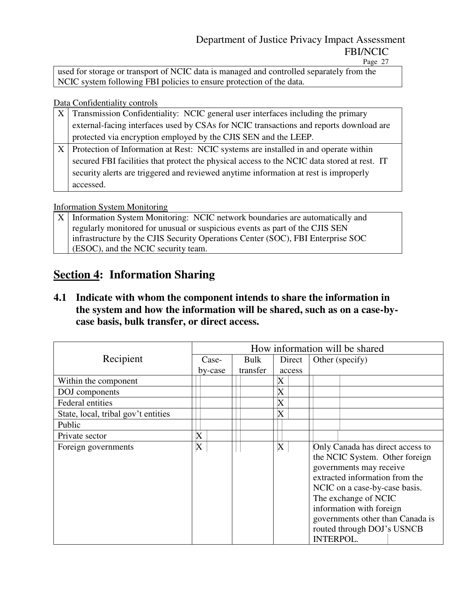Page 27

used for storage or transport of NCIC data is managed and controlled separately from the NCIC system following FBI policies to ensure protection of the data.

Data Confidentiality controls

| Transmission Confidentiality: NCIC general user interfaces including the primary            |
|---------------------------------------------------------------------------------------------|
| external-facing interfaces used by CSAs for NCIC transactions and reports download are      |
| protected via encryption employed by the CJIS SEN and the LEEP.                             |
| Protection of Information at Rest: NCIC systems are installed in and operate within         |
| secured FBI facilities that protect the physical access to the NCIC data stored at rest. IT |
| security alerts are triggered and reviewed anytime information at rest is improperly        |
| accessed.                                                                                   |

### Information System Monitoring

| $ X $ Information System Monitoring: NCIC network boundaries are automatically and |
|------------------------------------------------------------------------------------|
| regularly monitored for unusual or suspicious events as part of the CJIS SEN       |
| infrastructure by the CJIS Security Operations Center (SOC), FBI Enterprise SOC    |
| (ESOC), and the NCIC security team.                                                |

# **Section 4: Information Sharing**

**4.1 Indicate with whom the component intends to share the information in the system and how the information will be shared, such as on a case-bycase basis, bulk transfer, or direct access.** 

|                                     | How information will be shared |          |                           |                                                                                                                                                                                                                                                                                                            |  |  |
|-------------------------------------|--------------------------------|----------|---------------------------|------------------------------------------------------------------------------------------------------------------------------------------------------------------------------------------------------------------------------------------------------------------------------------------------------------|--|--|
| Recipient                           | Case-                          | Bulk     | Direct                    | Other (specify)                                                                                                                                                                                                                                                                                            |  |  |
|                                     | by-case                        | transfer | access                    |                                                                                                                                                                                                                                                                                                            |  |  |
| Within the component                |                                |          | X                         |                                                                                                                                                                                                                                                                                                            |  |  |
| DOJ components                      |                                |          | $\boldsymbol{\mathrm{X}}$ |                                                                                                                                                                                                                                                                                                            |  |  |
| <b>Federal entities</b>             |                                |          | $\boldsymbol{\mathrm{X}}$ |                                                                                                                                                                                                                                                                                                            |  |  |
| State, local, tribal gov't entities |                                |          | X                         |                                                                                                                                                                                                                                                                                                            |  |  |
| Public                              |                                |          |                           |                                                                                                                                                                                                                                                                                                            |  |  |
| Private sector                      | X                              |          |                           |                                                                                                                                                                                                                                                                                                            |  |  |
| Foreign governments                 | X                              |          | $\mathbf X$               | Only Canada has direct access to<br>the NCIC System. Other foreign<br>governments may receive<br>extracted information from the<br>NCIC on a case-by-case basis.<br>The exchange of NCIC<br>information with foreign<br>governments other than Canada is<br>routed through DOJ's USNCB<br><b>INTERPOL.</b> |  |  |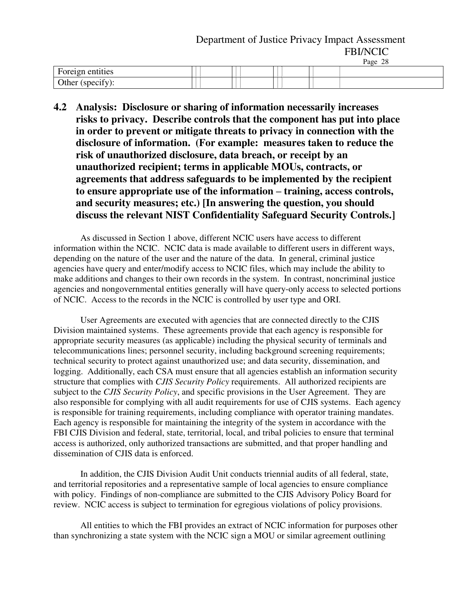| Foreign entities |  |  |  |
|------------------|--|--|--|
| Other (specify)  |  |  |  |

**4.2 Analysis: Disclosure or sharing of information necessarily increases risks to privacy. Describe controls that the component has put into place in order to prevent or mitigate threats to privacy in connection with the disclosure of information. (For example: measures taken to reduce the risk of unauthorized disclosure, data breach, or receipt by an unauthorized recipient; terms in applicable MOUs, contracts, or agreements that address safeguards to be implemented by the recipient to ensure appropriate use of the information – training, access controls, and security measures; etc.) [In answering the question, you should discuss the relevant NIST Confidentiality Safeguard Security Controls.]** 

As discussed in Section 1 above, different NCIC users have access to different information within the NCIC. NCIC data is made available to different users in different ways, depending on the nature of the user and the nature of the data. In general, criminal justice agencies have query and enter/modify access to NCIC files, which may include the ability to make additions and changes to their own records in the system. In contrast, noncriminal justice agencies and nongovernmental entities generally will have query-only access to selected portions of NCIC. Access to the records in the NCIC is controlled by user type and ORI.

User Agreements are executed with agencies that are connected directly to the CJIS Division maintained systems. These agreements provide that each agency is responsible for appropriate security measures (as applicable) including the physical security of terminals and telecommunications lines; personnel security, including background screening requirements; technical security to protect against unauthorized use; and data security, dissemination, and logging. Additionally, each CSA must ensure that all agencies establish an information security structure that complies with *CJIS Security Policy* requirements. All authorized recipients are subject to the *CJIS Security Policy*, and specific provisions in the User Agreement. They are also responsible for complying with all audit requirements for use of CJIS systems. Each agency is responsible for training requirements, including compliance with operator training mandates. Each agency is responsible for maintaining the integrity of the system in accordance with the FBI CJIS Division and federal, state, territorial, local, and tribal policies to ensure that terminal access is authorized, only authorized transactions are submitted, and that proper handling and dissemination of CJIS data is enforced.

In addition, the CJIS Division Audit Unit conducts triennial audits of all federal, state, and territorial repositories and a representative sample of local agencies to ensure compliance with policy. Findings of non-compliance are submitted to the CJIS Advisory Policy Board for review. NCIC access is subject to termination for egregious violations of policy provisions.

All entities to which the FBI provides an extract of NCIC information for purposes other than synchronizing a state system with the NCIC sign a MOU or similar agreement outlining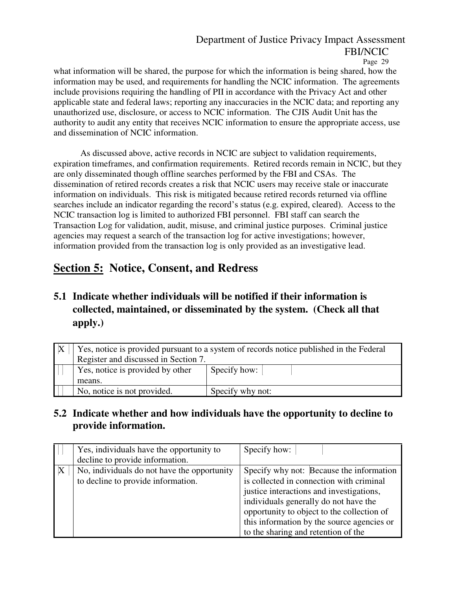what information will be shared, the purpose for which the information is being shared, how the information may be used, and requirements for handling the NCIC information. The agreements include provisions requiring the handling of PII in accordance with the Privacy Act and other applicable state and federal laws; reporting any inaccuracies in the NCIC data; and reporting any unauthorized use, disclosure, or access to NCIC information. The CJIS Audit Unit has the authority to audit any entity that receives NCIC information to ensure the appropriate access, use and dissemination of NCIC information.

As discussed above, active records in NCIC are subject to validation requirements, expiration timeframes, and confirmation requirements. Retired records remain in NCIC, but they are only disseminated though offline searches performed by the FBI and CSAs. The dissemination of retired records creates a risk that NCIC users may receive stale or inaccurate information on individuals. This risk is mitigated because retired records returned via offline searches include an indicator regarding the record's status (e.g. expired, cleared). Access to the NCIC transaction log is limited to authorized FBI personnel. FBI staff can search the Transaction Log for validation, audit, misuse, and criminal justice purposes. Criminal justice agencies may request a search of the transaction log for active investigations; however, information provided from the transaction log is only provided as an investigative lead.

# **Section 5: Notice, Consent, and Redress**

**5.1 Indicate whether individuals will be notified if their information is collected, maintained, or disseminated by the system. (Check all that apply.)** 

| Yes, notice is provided pursuant to a system of records notice published in the Federal |                  |  |
|-----------------------------------------------------------------------------------------|------------------|--|
| Register and discussed in Section 7.                                                    |                  |  |
| Yes, notice is provided by other                                                        | Specify how:     |  |
| means.                                                                                  |                  |  |
| No, notice is not provided.                                                             | Specify why not: |  |

## **5.2 Indicate whether and how individuals have the opportunity to decline to provide information.**

|              | Yes, individuals have the opportunity to    | Specify how:                               |
|--------------|---------------------------------------------|--------------------------------------------|
|              | decline to provide information.             |                                            |
| $\mathbf{X}$ | No, individuals do not have the opportunity | Specify why not: Because the information   |
|              | to decline to provide information.          | is collected in connection with criminal   |
|              |                                             | justice interactions and investigations,   |
|              |                                             | individuals generally do not have the      |
|              |                                             | opportunity to object to the collection of |
|              |                                             | this information by the source agencies or |
|              |                                             | to the sharing and retention of the        |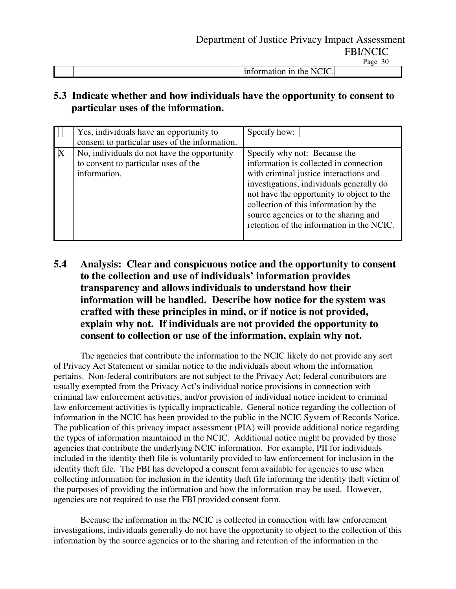|  | $\sim$<br>the<br>111<br>ш<br><br><u>. .</u><br>___ |  |
|--|----------------------------------------------------|--|
|  |                                                    |  |

### **5.3 Indicate whether and how individuals have the opportunity to consent to particular uses of the information.**

| Yes, individuals have an opportunity to<br>consent to particular uses of the information.                | Specify how:                                                                                                                                                                                                                                                                                                                             |
|----------------------------------------------------------------------------------------------------------|------------------------------------------------------------------------------------------------------------------------------------------------------------------------------------------------------------------------------------------------------------------------------------------------------------------------------------------|
| X<br>No, individuals do not have the opportunity<br>to consent to particular uses of the<br>information. | Specify why not: Because the<br>information is collected in connection<br>with criminal justice interactions and<br>investigations, individuals generally do<br>not have the opportunity to object to the<br>collection of this information by the<br>source agencies or to the sharing and<br>retention of the information in the NCIC. |

## **5.4 Analysis: Clear and conspicuous notice and the opportunity to consent to the collection and use of individuals' information provides transparency and allows individuals to understand how their information will be handled. Describe how notice for the system was crafted with these principles in mind, or if notice is not provided, explain why not. If individuals are not provided the opportun**it**y to consent to collection or use of the information, explain why not.**

 The agencies that contribute the information to the NCIC likely do not provide any sort of Privacy Act Statement or similar notice to the individuals about whom the information pertains. Non-federal contributors are not subject to the Privacy Act; federal contributors are usually exempted from the Privacy Act's individual notice provisions in connection with criminal law enforcement activities, and/or provision of individual notice incident to criminal law enforcement activities is typically impracticable. General notice regarding the collection of information in the NCIC has been provided to the public in the NCIC System of Records Notice. The publication of this privacy impact assessment (PIA) will provide additional notice regarding the types of information maintained in the NCIC. Additional notice might be provided by those agencies that contribute the underlying NCIC information. For example, PII for individuals included in the identity theft file is voluntarily provided to law enforcement for inclusion in the identity theft file. The FBI has developed a consent form available for agencies to use when collecting information for inclusion in the identity theft file informing the identity theft victim of the purposes of providing the information and how the information may be used. However, agencies are not required to use the FBI provided consent form.

Because the information in the NCIC is collected in connection with law enforcement investigations, individuals generally do not have the opportunity to object to the collection of this information by the source agencies or to the sharing and retention of the information in the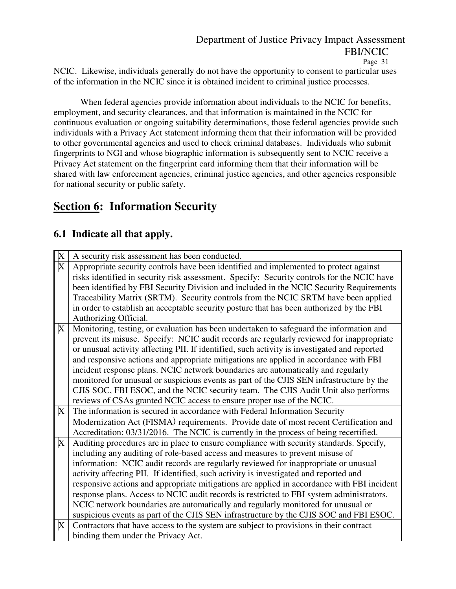NCIC. Likewise, individuals generally do not have the opportunity to consent to particular uses of the information in the NCIC since it is obtained incident to criminal justice processes.

 When federal agencies provide information about individuals to the NCIC for benefits, employment, and security clearances, and that information is maintained in the NCIC for continuous evaluation or ongoing suitability determinations, those federal agencies provide such individuals with a Privacy Act statement informing them that their information will be provided to other governmental agencies and used to check criminal databases. Individuals who submit fingerprints to NGI and whose biographic information is subsequently sent to NCIC receive a Privacy Act statement on the fingerprint card informing them that their information will be shared with law enforcement agencies, criminal justice agencies, and other agencies responsible for national security or public safety.

# **Section 6: Information Security**

# **6.1 Indicate all that apply.**

| $\boldsymbol{\mathrm{X}}$ | A security risk assessment has been conducted.                                               |
|---------------------------|----------------------------------------------------------------------------------------------|
| $\overline{\text{X}}$     | Appropriate security controls have been identified and implemented to protect against        |
|                           | risks identified in security risk assessment. Specify: Security controls for the NCIC have   |
|                           | been identified by FBI Security Division and included in the NCIC Security Requirements      |
|                           | Traceability Matrix (SRTM). Security controls from the NCIC SRTM have been applied           |
|                           | in order to establish an acceptable security posture that has been authorized by the FBI     |
|                           | Authorizing Official.                                                                        |
| X                         | Monitoring, testing, or evaluation has been undertaken to safeguard the information and      |
|                           | prevent its misuse. Specify: NCIC audit records are regularly reviewed for inappropriate     |
|                           | or unusual activity affecting PII. If identified, such activity is investigated and reported |
|                           | and responsive actions and appropriate mitigations are applied in accordance with FBI        |
|                           | incident response plans. NCIC network boundaries are automatically and regularly             |
|                           | monitored for unusual or suspicious events as part of the CJIS SEN infrastructure by the     |
|                           | CJIS SOC, FBI ESOC, and the NCIC security team. The CJIS Audit Unit also performs            |
|                           | reviews of CSAs granted NCIC access to ensure proper use of the NCIC.                        |
| X                         | The information is secured in accordance with Federal Information Security                   |
|                           | Modernization Act (FISMA) requirements. Provide date of most recent Certification and        |
|                           | Accreditation: 03/31/2016. The NCIC is currently in the process of being recertified.        |
| X                         | Auditing procedures are in place to ensure compliance with security standards. Specify,      |
|                           | including any auditing of role-based access and measures to prevent misuse of                |
|                           | information: NCIC audit records are regularly reviewed for inappropriate or unusual          |
|                           | activity affecting PII. If identified, such activity is investigated and reported and        |
|                           | responsive actions and appropriate mitigations are applied in accordance with FBI incident   |
|                           | response plans. Access to NCIC audit records is restricted to FBI system administrators.     |
|                           | NCIC network boundaries are automatically and regularly monitored for unusual or             |
|                           | suspicious events as part of the CJIS SEN infrastructure by the CJIS SOC and FBI ESOC.       |
| X                         | Contractors that have access to the system are subject to provisions in their contract       |
|                           | binding them under the Privacy Act.                                                          |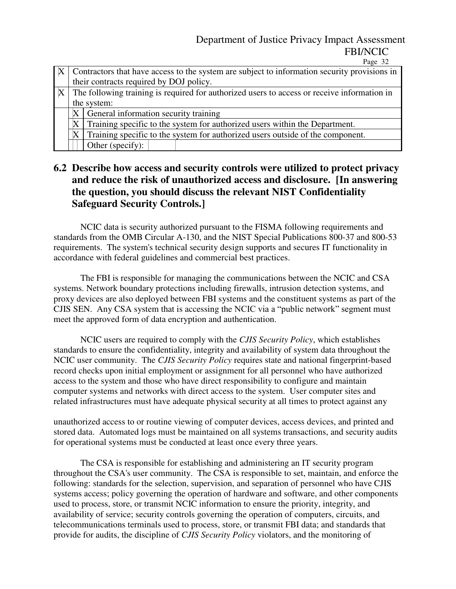Page 32

| $X^+$ |                                                                                                   | Contractors that have access to the system are subject to information security provisions in |
|-------|---------------------------------------------------------------------------------------------------|----------------------------------------------------------------------------------------------|
|       |                                                                                                   | their contracts required by DOJ policy.                                                      |
|       | $ X $ The following training is required for authorized users to access or receive information in |                                                                                              |
|       |                                                                                                   | the system:                                                                                  |
|       | $\mathbf X$                                                                                       | General information security training                                                        |
|       | $\mathbf X$                                                                                       | Training specific to the system for authorized users within the Department.                  |
|       | X                                                                                                 | Training specific to the system for authorized users outside of the component.               |
|       |                                                                                                   | Other (specify):                                                                             |

### **6.2 Describe how access and security controls were utilized to protect privacy and reduce the risk of unauthorized access and disclosure. [In answering the question, you should discuss the relevant NIST Confidentiality Safeguard Security Controls.]**

NCIC data is security authorized pursuant to the FISMA following requirements and standards from the OMB Circular A-130, and the NIST Special Publications 800-37 and 800-53 requirements. The system's technical security design supports and secures IT functionality in accordance with federal guidelines and commercial best practices.

 The FBI is responsible for managing the communications between the NCIC and CSA systems. Network boundary protections including firewalls, intrusion detection systems, and proxy devices are also deployed between FBI systems and the constituent systems as part of the CJIS SEN. Any CSA system that is accessing the NCIC via a "public network" segment must meet the approved form of data encryption and authentication.

 NCIC users are required to comply with the *CJIS Security Policy*, which establishes standards to ensure the confidentiality, integrity and availability of system data throughout the NCIC user community. The *CJIS Security Policy* requires state and national fingerprint-based record checks upon initial employment or assignment for all personnel who have authorized access to the system and those who have direct responsibility to configure and maintain computer systems and networks with direct access to the system. User computer sites and related infrastructures must have adequate physical security at all times to protect against any

unauthorized access to or routine viewing of computer devices, access devices, and printed and stored data. Automated logs must be maintained on all systems transactions, and security audits for operational systems must be conducted at least once every three years.

 The CSA is responsible for establishing and administering an IT security program throughout the CSA's user community. The CSA is responsible to set, maintain, and enforce the following: standards for the selection, supervision, and separation of personnel who have CJIS systems access; policy governing the operation of hardware and software, and other components used to process, store, or transmit NCIC information to ensure the priority, integrity, and availability of service; security controls governing the operation of computers, circuits, and telecommunications terminals used to process, store, or transmit FBI data; and standards that provide for audits, the discipline of *CJIS Security Policy* violators, and the monitoring of